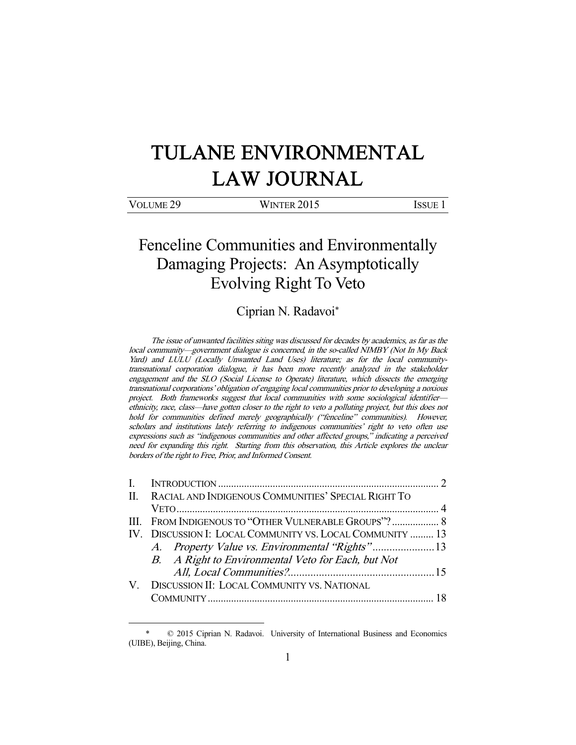# TULANE ENVIRONMENTAL LAW JOURNAL

| VOLUME <sub>29</sub> | WINTER 2015 | Issue |
|----------------------|-------------|-------|
|                      |             |       |

## Fenceline Communities and Environmentally Damaging Projects: An Asymptotically Evolving Right To Veto

### Ciprian N. Radavoi\*

The issue of unwanted facilities siting was discussed for decades by academics, as far as the local community—government dialogue is concerned, in the so-called NIMBY (Not In My Back Yard) and LULU (Locally Unwanted Land Uses) literature; as for the local communitytransnational corporation dialogue, it has been more recently analyzed in the stakeholder engagement and the SLO (Social License to Operate) literature, which dissects the emerging transnational corporations' obligation of engaging local communities prior to developing a noxious project. Both frameworks suggest that local communities with some sociological identifier ethnicity, race, class—have gotten closer to the right to veto a polluting project, but this does not hold for communities defined merely geographically ("fenceline" communities). However, scholars and institutions lately referring to indigenous communities' right to veto often use expressions such as "indigenous communities and other affected groups," indicating a perceived need for expanding this right. Starting from this observation, this Article explores the unclear borders of the right to Free, Prior, and Informed Consent.

| II. RACIAL AND INDIGENOUS COMMUNITIES' SPECIAL RIGHT TO   |  |
|-----------------------------------------------------------|--|
|                                                           |  |
|                                                           |  |
| IV. DISCUSSION I: LOCAL COMMUNITY VS. LOCAL COMMUNITY  13 |  |
|                                                           |  |
| B. A Right to Environmental Veto for Each, but Not        |  |
|                                                           |  |
| V. DISCUSSION II: LOCAL COMMUNITY VS. NATIONAL            |  |
|                                                           |  |

 <sup>\* © 2015</sup> Ciprian N. Radavoi. University of International Business and Economics (UIBE), Beijing, China.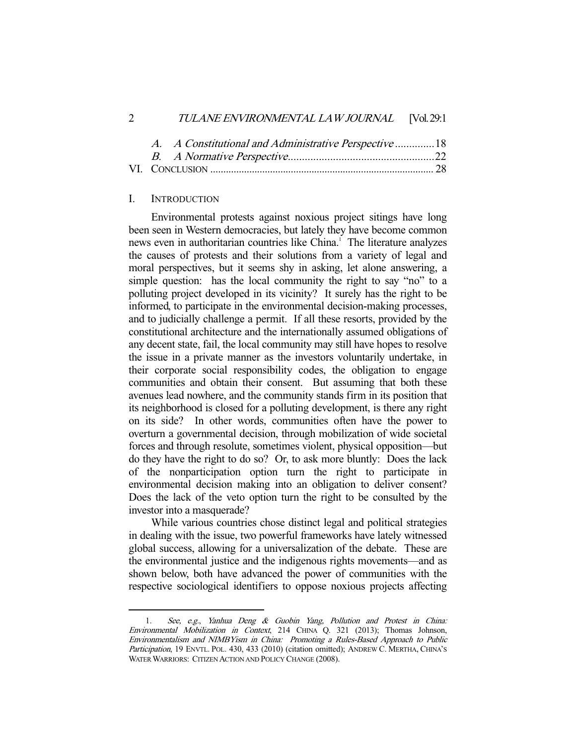|  | A. A Constitutional and Administrative Perspective  18 |  |
|--|--------------------------------------------------------|--|
|  |                                                        |  |
|  |                                                        |  |

#### I. INTRODUCTION

-

 Environmental protests against noxious project sitings have long been seen in Western democracies, but lately they have become common news even in authoritarian countries like China.<sup>1</sup> The literature analyzes the causes of protests and their solutions from a variety of legal and moral perspectives, but it seems shy in asking, let alone answering, a simple question: has the local community the right to say "no" to a polluting project developed in its vicinity? It surely has the right to be informed, to participate in the environmental decision-making processes, and to judicially challenge a permit. If all these resorts, provided by the constitutional architecture and the internationally assumed obligations of any decent state, fail, the local community may still have hopes to resolve the issue in a private manner as the investors voluntarily undertake, in their corporate social responsibility codes, the obligation to engage communities and obtain their consent. But assuming that both these avenues lead nowhere, and the community stands firm in its position that its neighborhood is closed for a polluting development, is there any right on its side? In other words, communities often have the power to overturn a governmental decision, through mobilization of wide societal forces and through resolute, sometimes violent, physical opposition—but do they have the right to do so? Or, to ask more bluntly: Does the lack of the nonparticipation option turn the right to participate in environmental decision making into an obligation to deliver consent? Does the lack of the veto option turn the right to be consulted by the investor into a masquerade?

 While various countries chose distinct legal and political strategies in dealing with the issue, two powerful frameworks have lately witnessed global success, allowing for a universalization of the debate. These are the environmental justice and the indigenous rights movements—and as shown below, both have advanced the power of communities with the respective sociological identifiers to oppose noxious projects affecting

 <sup>1.</sup> See, e.g., Yanhua Deng & Guobin Yang, Pollution and Protest in China: Environmental Mobilization in Context, 214 CHINA Q. 321 (2013); Thomas Johnson, Environmentalism and NIMBYism in China: Promoting a Rules-Based Approach to Public Participation, 19 ENVTL. POL. 430, 433 (2010) (citation omitted); ANDREW C. MERTHA, CHINA'S WATER WARRIORS: CITIZEN ACTION AND POLICY CHANGE (2008).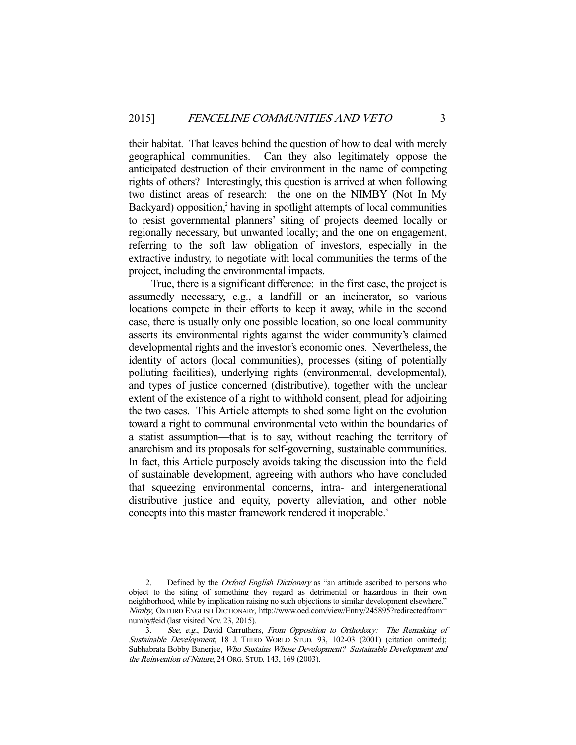their habitat. That leaves behind the question of how to deal with merely geographical communities. Can they also legitimately oppose the anticipated destruction of their environment in the name of competing rights of others? Interestingly, this question is arrived at when following two distinct areas of research: the one on the NIMBY (Not In My Backyard) opposition,<sup>2</sup> having in spotlight attempts of local communities to resist governmental planners' siting of projects deemed locally or regionally necessary, but unwanted locally; and the one on engagement, referring to the soft law obligation of investors, especially in the extractive industry, to negotiate with local communities the terms of the project, including the environmental impacts.

 True, there is a significant difference: in the first case, the project is assumedly necessary, e.g., a landfill or an incinerator, so various locations compete in their efforts to keep it away, while in the second case, there is usually only one possible location, so one local community asserts its environmental rights against the wider community's claimed developmental rights and the investor's economic ones. Nevertheless, the identity of actors (local communities), processes (siting of potentially polluting facilities), underlying rights (environmental, developmental), and types of justice concerned (distributive), together with the unclear extent of the existence of a right to withhold consent, plead for adjoining the two cases. This Article attempts to shed some light on the evolution toward a right to communal environmental veto within the boundaries of a statist assumption—that is to say, without reaching the territory of anarchism and its proposals for self-governing, sustainable communities. In fact, this Article purposely avoids taking the discussion into the field of sustainable development, agreeing with authors who have concluded that squeezing environmental concerns, intra- and intergenerational distributive justice and equity, poverty alleviation, and other noble concepts into this master framework rendered it inoperable.<sup>3</sup>

<sup>2.</sup> Defined by the *Oxford English Dictionary* as "an attitude ascribed to persons who object to the siting of something they regard as detrimental or hazardous in their own neighborhood, while by implication raising no such objections to similar development elsewhere." Nimby, OXFORD ENGLISH DICTIONARY, http://www.oed.com/view/Entry/245895?redirectedfrom= numby#eid (last visited Nov. 23, 2015).

<sup>3.</sup> See, e.g., David Carruthers, From Opposition to Orthodoxy: The Remaking of Sustainable Development, 18 J. THIRD WORLD STUD. 93, 102-03 (2001) (citation omitted); Subhabrata Bobby Banerjee, Who Sustains Whose Development? Sustainable Development and the Reinvention of Nature, 24 ORG. STUD. 143, 169 (2003).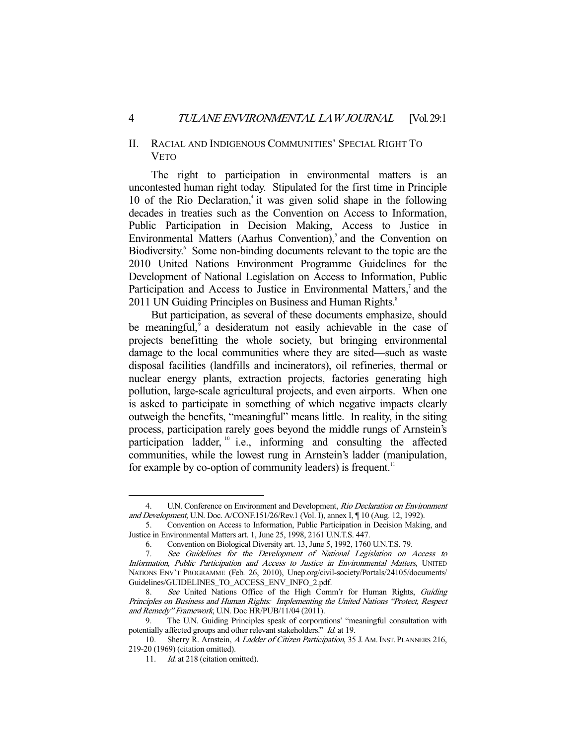#### II. RACIAL AND INDIGENOUS COMMUNITIES' SPECIAL RIGHT TO VETO

 The right to participation in environmental matters is an uncontested human right today. Stipulated for the first time in Principle 10 of the Rio Declaration,<sup>4</sup> it was given solid shape in the following decades in treaties such as the Convention on Access to Information, Public Participation in Decision Making, Access to Justice in Environmental Matters (Aarhus Convention),<sup>5</sup> and the Convention on Biodiversity.<sup>6</sup> Some non-binding documents relevant to the topic are the 2010 United Nations Environment Programme Guidelines for the Development of National Legislation on Access to Information, Public Participation and Access to Justice in Environmental Matters,<sup>7</sup> and the 2011 UN Guiding Principles on Business and Human Rights.<sup>8</sup>

 But participation, as several of these documents emphasize, should be meaningful,<sup>9</sup> a desideratum not easily achievable in the case of projects benefitting the whole society, but bringing environmental damage to the local communities where they are sited—such as waste disposal facilities (landfills and incinerators), oil refineries, thermal or nuclear energy plants, extraction projects, factories generating high pollution, large-scale agricultural projects, and even airports. When one is asked to participate in something of which negative impacts clearly outweigh the benefits, "meaningful" means little. In reality, in the siting process, participation rarely goes beyond the middle rungs of Arnstein's participation ladder, <sup>10</sup> i.e., informing and consulting the affected communities, while the lowest rung in Arnstein's ladder (manipulation, for example by co-option of community leaders) is frequent.<sup>11</sup>

 <sup>4.</sup> U.N. Conference on Environment and Development, Rio Declaration on Environment and Development, U.N. Doc. A/CONF.151/26/Rev.1 (Vol. I), annex I, ¶ 10 (Aug. 12, 1992).

 <sup>5.</sup> Convention on Access to Information, Public Participation in Decision Making, and Justice in Environmental Matters art. 1, June 25, 1998, 2161 U.N.T.S. 447.

 <sup>6.</sup> Convention on Biological Diversity art. 13, June 5, 1992, 1760 U.N.T.S. 79.

 <sup>7.</sup> See Guidelines for the Development of National Legislation on Access to Information, Public Participation and Access to Justice in Environmental Matters, UNITED NATIONS ENV'T PROGRAMME (Feb. 26, 2010), Unep.org/civil-society/Portals/24105/documents/ Guidelines/GUIDELINES\_TO\_ACCESS\_ENV\_INFO\_2.pdf.

<sup>8.</sup> See United Nations Office of the High Comm'r for Human Rights, Guiding Principles on Business and Human Rights: Implementing the United Nations "Protect, Respect and Remedy" Framework, U.N. Doc HR/PUB/11/04 (2011).

The U.N. Guiding Principles speak of corporations' "meaningful consultation with potentially affected groups and other relevant stakeholders." Id. at 19.

<sup>10.</sup> Sherry R. Arnstein, A Ladder of Citizen Participation, 35 J. AM. INST. PLANNERS 216, 219-20 (1969) (citation omitted).

<sup>11.</sup> *Id.* at 218 (citation omitted).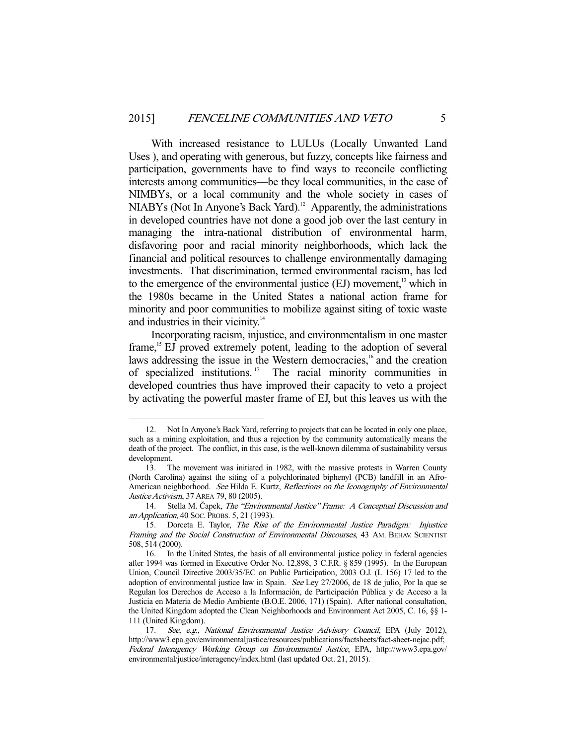With increased resistance to LULUs (Locally Unwanted Land Uses ), and operating with generous, but fuzzy, concepts like fairness and participation, governments have to find ways to reconcile conflicting interests among communities—be they local communities, in the case of NIMBYs, or a local community and the whole society in cases of  $NIABYs$  (Not In Anyone's Back Yard).<sup>12</sup> Apparently, the administrations in developed countries have not done a good job over the last century in managing the intra-national distribution of environmental harm, disfavoring poor and racial minority neighborhoods, which lack the financial and political resources to challenge environmentally damaging investments. That discrimination, termed environmental racism, has led to the emergence of the environmental justice (EJ) movement,<sup>13</sup> which in the 1980s became in the United States a national action frame for minority and poor communities to mobilize against siting of toxic waste and industries in their vicinity.<sup>14</sup>

 Incorporating racism, injustice, and environmentalism in one master frame,<sup>15</sup> EJ proved extremely potent, leading to the adoption of several laws addressing the issue in the Western democracies,<sup>16</sup> and the creation of specialized institutions. 17 The racial minority communities in developed countries thus have improved their capacity to veto a project by activating the powerful master frame of EJ, but this leaves us with the

 <sup>12.</sup> Not In Anyone's Back Yard, referring to projects that can be located in only one place, such as a mining exploitation, and thus a rejection by the community automatically means the death of the project. The conflict, in this case, is the well-known dilemma of sustainability versus development.

 <sup>13.</sup> The movement was initiated in 1982, with the massive protests in Warren County (North Carolina) against the siting of a polychlorinated biphenyl (PCB) landfill in an Afro-American neighborhood. See Hilda E. Kurtz, Reflections on the Iconography of Environmental Justice Activism, 37 AREA 79, 80 (2005).

 <sup>14.</sup> Stella M. Čapek, The "Environmental Justice" Frame: A Conceptual Discussion and an Application, 40 SOC. PROBS. 5, 21 (1993).

 <sup>15.</sup> Dorceta E. Taylor, The Rise of the Environmental Justice Paradigm: Injustice Framing and the Social Construction of Environmental Discourses, 43 AM. BEHAV. SCIENTIST 508, 514 (2000).

 <sup>16.</sup> In the United States, the basis of all environmental justice policy in federal agencies after 1994 was formed in Executive Order No. 12,898, 3 C.F.R. § 859 (1995). In the European Union, Council Directive 2003/35/EC on Public Participation, 2003 O.J. (L 156) 17 led to the adoption of environmental justice law in Spain. See Ley 27/2006, de 18 de julio, Por la que se Regulan los Derechos de Acceso a la Información, de Participación Pública y de Acceso a la Justicia en Materia de Medio Ambiente (B.O.E. 2006, 171) (Spain). After national consultation, the United Kingdom adopted the Clean Neighborhoods and Environment Act 2005, C. 16, §§ 1- 111 (United Kingdom).

<sup>17.</sup> See, e.g., National Environmental Justice Advisory Council, EPA (July 2012), http://www3.epa.gov/environmentaljustice/resources/publications/factsheets/fact-sheet-nejac.pdf; Federal Interagency Working Group on Environmental Justice, EPA, http://www3.epa.gov/ environmental/justice/interagency/index.html (last updated Oct. 21, 2015).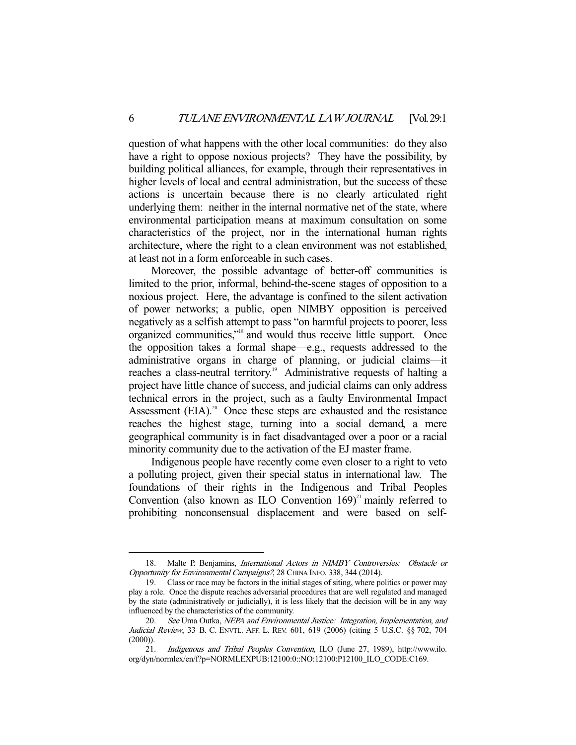question of what happens with the other local communities: do they also have a right to oppose noxious projects? They have the possibility, by building political alliances, for example, through their representatives in higher levels of local and central administration, but the success of these actions is uncertain because there is no clearly articulated right underlying them: neither in the internal normative net of the state, where environmental participation means at maximum consultation on some characteristics of the project, nor in the international human rights architecture, where the right to a clean environment was not established, at least not in a form enforceable in such cases.

 Moreover, the possible advantage of better-off communities is limited to the prior, informal, behind-the-scene stages of opposition to a noxious project. Here, the advantage is confined to the silent activation of power networks; a public, open NIMBY opposition is perceived negatively as a selfish attempt to pass "on harmful projects to poorer, less organized communities,"18 and would thus receive little support. Once the opposition takes a formal shape—e.g., requests addressed to the administrative organs in charge of planning, or judicial claims—it reaches a class-neutral territory.<sup>19</sup> Administrative requests of halting a project have little chance of success, and judicial claims can only address technical errors in the project, such as a faulty Environmental Impact Assessment  $(EIA)^{20}$  Once these steps are exhausted and the resistance reaches the highest stage, turning into a social demand, a mere geographical community is in fact disadvantaged over a poor or a racial minority community due to the activation of the EJ master frame.

 Indigenous people have recently come even closer to a right to veto a polluting project, given their special status in international law. The foundations of their rights in the Indigenous and Tribal Peoples Convention (also known as ILO Convention  $169)^{21}$  mainly referred to prohibiting nonconsensual displacement and were based on self-

<sup>18.</sup> Malte P. Benjamins, *International Actors in NIMBY Controversies: Obstacle or* Opportunity for Environmental Campaigns?, 28 CHINA INFO. 338, 344 (2014).

 <sup>19.</sup> Class or race may be factors in the initial stages of siting, where politics or power may play a role. Once the dispute reaches adversarial procedures that are well regulated and managed by the state (administratively or judicially), it is less likely that the decision will be in any way influenced by the characteristics of the community.

<sup>20.</sup> See Uma Outka, NEPA and Environmental Justice: Integration, Implementation, and Judicial Review, 33 B. C. ENVTL. AFF. L. REV. 601, 619 (2006) (citing 5 U.S.C. §§ 702, 704  $(2000)$ ).

 <sup>21.</sup> Indigenous and Tribal Peoples Convention, ILO (June 27, 1989), http://www.ilo. org/dyn/normlex/en/f?p=NORMLEXPUB:12100:0::NO:12100:P12100\_ILO\_CODE:C169.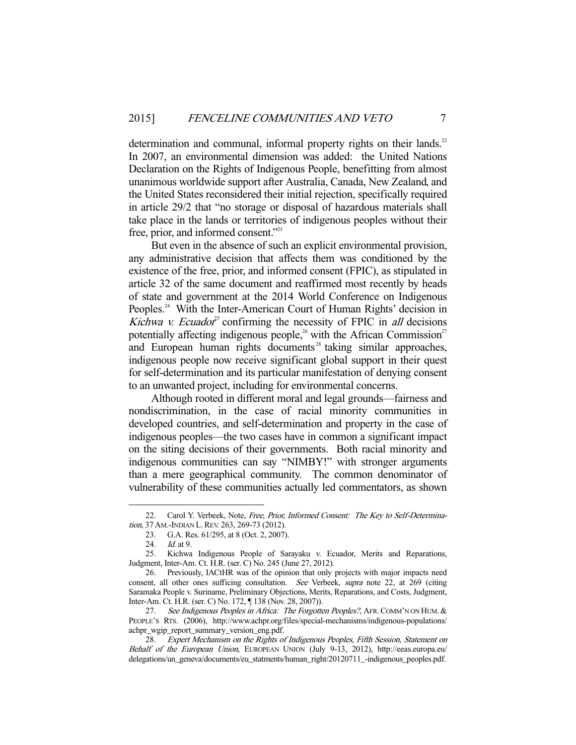determination and communal, informal property rights on their lands.<sup>22</sup> In 2007, an environmental dimension was added: the United Nations Declaration on the Rights of Indigenous People, benefitting from almost unanimous worldwide support after Australia, Canada, New Zealand, and the United States reconsidered their initial rejection, specifically required in article 29/2 that "no storage or disposal of hazardous materials shall take place in the lands or territories of indigenous peoples without their free, prior, and informed consent."<sup>23</sup>

 But even in the absence of such an explicit environmental provision, any administrative decision that affects them was conditioned by the existence of the free, prior, and informed consent (FPIC), as stipulated in article 32 of the same document and reaffirmed most recently by heads of state and government at the 2014 World Conference on Indigenous Peoples.<sup>24</sup> With the Inter-American Court of Human Rights' decision in Kichwa v. Ecuador<sup>25</sup> confirming the necessity of FPIC in all decisions potentially affecting indigenous people,<sup>26</sup> with the African Commission<sup>27</sup> and European human rights documents<sup> $28$ </sup> taking similar approaches, indigenous people now receive significant global support in their quest for self-determination and its particular manifestation of denying consent to an unwanted project, including for environmental concerns.

 Although rooted in different moral and legal grounds—fairness and nondiscrimination, in the case of racial minority communities in developed countries, and self-determination and property in the case of indigenous peoples—the two cases have in common a significant impact on the siting decisions of their governments. Both racial minority and indigenous communities can say "NIMBY!" with stronger arguments than a mere geographical community. The common denominator of vulnerability of these communities actually led commentators, as shown

Carol Y. Verbeek, Note, Free, Prior, Informed Consent: The Key to Self-Determination, 37 AM.-INDIAN L. REV. 263, 269-73 (2012).

 <sup>23.</sup> G.A. Res. 61/295, at 8 (Oct. 2, 2007).

<sup>24.</sup> *Id.* at 9.

 <sup>25.</sup> Kichwa Indigenous People of Sarayaku v. Ecuador, Merits and Reparations, Judgment, Inter-Am. Ct. H.R. (ser. C) No. 245 (June 27, 2012).

 <sup>26.</sup> Previously, IACtHR was of the opinion that only projects with major impacts need consent, all other ones sufficing consultation. See Verbeek, supra note 22, at 269 (citing Saramaka People v. Suriname, Preliminary Objections, Merits, Reparations, and Costs, Judgment, Inter-Am. Ct. H.R. (ser. C) No. 172, ¶ 138 (Nov. 28, 2007)).

<sup>27.</sup> See Indigenous Peoples in Africa: The Forgotten Peoples?, AFR. COMM'N ON HUM. & PEOPLE'S RTS. (2006), http://www.achpr.org/files/special-mechanisms/indigenous-populations/ achpr\_wgip\_report\_summary\_version\_eng.pdf.

 <sup>28.</sup> Expert Mechanism on the Rights of Indigenous Peoples, Fifth Session, Statement on Behalf of the European Union, EUROPEAN UNION (July 9-13, 2012), http://eeas.europa.eu/ delegations/un\_geneva/documents/eu\_statments/human\_right/20120711\_-indigenous\_peoples.pdf.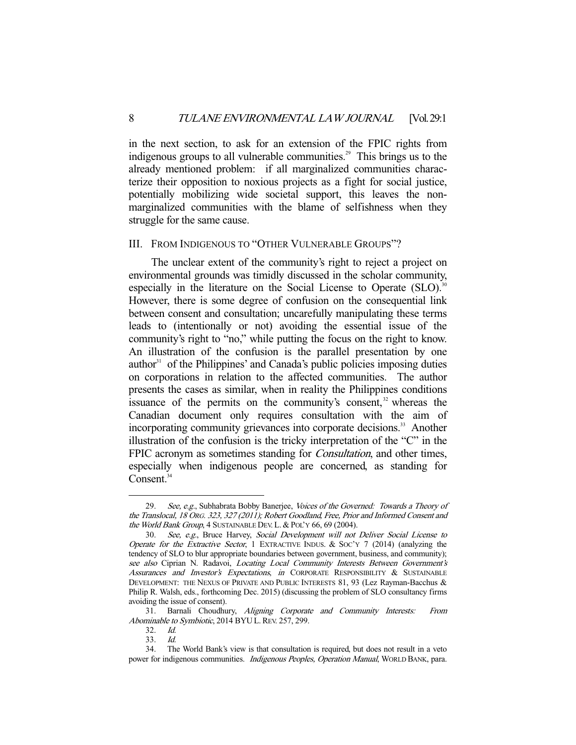in the next section, to ask for an extension of the FPIC rights from indigenous groups to all vulnerable communities.<sup>29</sup> This brings us to the already mentioned problem: if all marginalized communities characterize their opposition to noxious projects as a fight for social justice, potentially mobilizing wide societal support, this leaves the nonmarginalized communities with the blame of selfishness when they struggle for the same cause.

#### III. FROM INDIGENOUS TO "OTHER VULNERABLE GROUPS"?

 The unclear extent of the community's right to reject a project on environmental grounds was timidly discussed in the scholar community, especially in the literature on the Social License to Operate (SLO).<sup>30</sup> However, there is some degree of confusion on the consequential link between consent and consultation; uncarefully manipulating these terms leads to (intentionally or not) avoiding the essential issue of the community's right to "no," while putting the focus on the right to know. An illustration of the confusion is the parallel presentation by one author $31$  of the Philippines' and Canada's public policies imposing duties on corporations in relation to the affected communities. The author presents the cases as similar, when in reality the Philippines conditions issuance of the permits on the community's consent, $32$  whereas the Canadian document only requires consultation with the aim of incorporating community grievances into corporate decisions.<sup>33</sup> Another illustration of the confusion is the tricky interpretation of the "C" in the FPIC acronym as sometimes standing for *Consultation*, and other times, especially when indigenous people are concerned, as standing for Consent. $34$ 

<sup>29.</sup> See, e.g., Subhabrata Bobby Banerjee, Voices of the Governed: Towards a Theory of the Translocal, 18 ORG. 323, 327 (2011); Robert Goodland, Free, Prior and Informed Consent and the World Bank Group, 4 SUSTAINABLE DEV. L. & POL'Y 66, 69 (2004).

 <sup>30.</sup> See, e.g., Bruce Harvey, Social Development will not Deliver Social License to Operate for the Extractive Sector, 1 EXTRACTIVE INDUS. & Soc'y 7 (2014) (analyzing the tendency of SLO to blur appropriate boundaries between government, business, and community); see also Ciprian N. Radavoi, Locating Local Community Interests Between Government's Assurances and Investor's Expectations, in CORPORATE RESPONSIBILITY & SUSTAINABLE DEVELOPMENT: THE NEXUS OF PRIVATE AND PUBLIC INTERESTS 81, 93 (Lez Rayman-Bacchus & Philip R. Walsh, eds., forthcoming Dec. 2015) (discussing the problem of SLO consultancy firms avoiding the issue of consent).

 <sup>31.</sup> Barnali Choudhury, Aligning Corporate and Community Interests: From Abominable to Symbiotic, 2014 BYU L. REV. 257, 299.

 <sup>32.</sup> Id.

 <sup>33.</sup> Id.

 <sup>34.</sup> The World Bank's view is that consultation is required, but does not result in a veto power for indigenous communities. Indigenous Peoples, Operation Manual, WORLD BANK, para.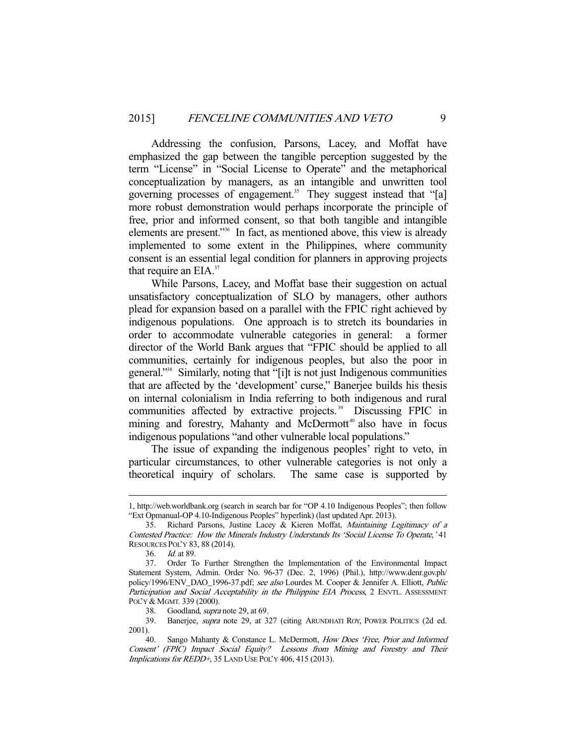Addressing the confusion, Parsons, Lacey, and Moffat have emphasized the gap between the tangible perception suggested by the term "License" in "Social License to Operate" and the metaphorical conceptualization by managers, as an intangible and unwritten tool governing processes of engagement.<sup>35</sup> They suggest instead that "[a] more robust demonstration would perhaps incorporate the principle of free, prior and informed consent, so that both tangible and intangible elements are present."36 In fact, as mentioned above, this view is already implemented to some extent in the Philippines, where community consent is an essential legal condition for planners in approving projects that require an  $EIA.^{37}$ 

 While Parsons, Lacey, and Moffat base their suggestion on actual unsatisfactory conceptualization of SLO by managers, other authors plead for expansion based on a parallel with the FPIC right achieved by indigenous populations. One approach is to stretch its boundaries in order to accommodate vulnerable categories in general: a former director of the World Bank argues that "FPIC should be applied to all communities, certainly for indigenous peoples, but also the poor in general."38 Similarly, noting that "[i]t is not just Indigenous communities that are affected by the 'development' curse," Banerjee builds his thesis on internal colonialism in India referring to both indigenous and rural communities affected by extractive projects.<sup>39</sup> Discussing FPIC in mining and forestry, Mahanty and McDermott<sup>40</sup> also have in focus indigenous populations "and other vulnerable local populations."

 The issue of expanding the indigenous peoples' right to veto, in particular circumstances, to other vulnerable categories is not only a theoretical inquiry of scholars. The same case is supported by

<sup>1,</sup> http://web.worldbank.org (search in search bar for "OP 4.10 Indigenous Peoples"; then follow "Ext Opmanual-OP 4.10-Indigenous Peoples" hyperlink) (last updated Apr. 2013).

 <sup>35.</sup> Richard Parsons, Justine Lacey & Kieren Moffat, Maintaining Legitimacy of a Contested Practice: How the Minerals Industry Understands Its 'Social License To Operate,' 41 RESOURCES POL'Y 83, 88 (2014).

 <sup>36.</sup> Id. at 89.

 <sup>37.</sup> Order To Further Strengthen the Implementation of the Environmental Impact Statement System, Admin. Order No. 96-37 (Dec. 2, 1996) (Phil.), http://www.denr.gov.ph/ policy/1996/ENV\_DAO\_1996-37.pdf; see also Lourdes M. Cooper & Jennifer A. Elliott, Public Participation and Social Acceptability in the Philippine EIA Process, 2 ENVTL. ASSESSMENT POL'Y & MGMT. 339 (2000).

 <sup>38.</sup> Goodland, supra note 29, at 69.

 <sup>39.</sup> Banerjee, supra note 29, at 327 (citing ARUNDHATI ROY, POWER POLITICS (2d ed. 2001).

Sango Mahanty & Constance L. McDermott, How Does 'Free, Prior and Informed Consent' (FPIC) Impact Social Equity? Lessons from Mining and Forestry and Their Implications for REDD+, 35 LAND USE POL'Y 406, 415 (2013).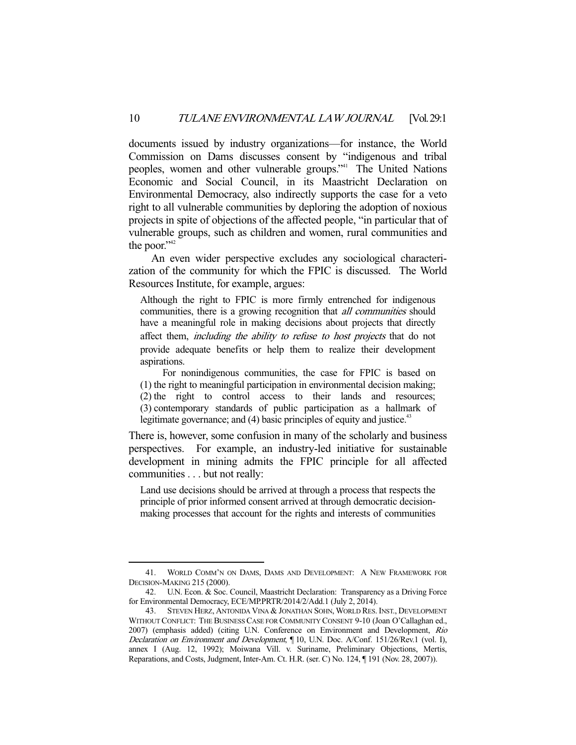documents issued by industry organizations—for instance, the World Commission on Dams discusses consent by "indigenous and tribal peoples, women and other vulnerable groups."<sup>41</sup> The United Nations Economic and Social Council, in its Maastricht Declaration on Environmental Democracy, also indirectly supports the case for a veto right to all vulnerable communities by deploring the adoption of noxious projects in spite of objections of the affected people, "in particular that of vulnerable groups, such as children and women, rural communities and the poor."<sup>42</sup>

 An even wider perspective excludes any sociological characterization of the community for which the FPIC is discussed. The World Resources Institute, for example, argues:

Although the right to FPIC is more firmly entrenched for indigenous communities, there is a growing recognition that *all communities* should have a meaningful role in making decisions about projects that directly affect them, including the ability to refuse to host projects that do not provide adequate benefits or help them to realize their development aspirations.

 For nonindigenous communities, the case for FPIC is based on (1) the right to meaningful participation in environmental decision making; (2) the right to control access to their lands and resources; (3) contemporary standards of public participation as a hallmark of legitimate governance; and  $(4)$  basic principles of equity and justice.<sup>43</sup>

There is, however, some confusion in many of the scholarly and business perspectives. For example, an industry-led initiative for sustainable development in mining admits the FPIC principle for all affected communities . . . but not really:

Land use decisions should be arrived at through a process that respects the principle of prior informed consent arrived at through democratic decisionmaking processes that account for the rights and interests of communities

 <sup>41.</sup> WORLD COMM'N ON DAMS, DAMS AND DEVELOPMENT: A NEW FRAMEWORK FOR DECISION-MAKING 215 (2000).

 <sup>42.</sup> U.N. Econ. & Soc. Council, Maastricht Declaration: Transparency as a Driving Force for Environmental Democracy, ECE/MP.PRTR/2014/2/Add.1 (July 2, 2014).

 <sup>43.</sup> STEVEN HERZ, ANTONIDA VINA & JONATHAN SOHN, WORLD RES. INST., DEVELOPMENT WITHOUT CONFLICT: THE BUSINESS CASE FOR COMMUNITY CONSENT 9-10 (Joan O'Callaghan ed., 2007) (emphasis added) (citing U.N. Conference on Environment and Development, Rio Declaration on Environment and Development, ¶ 10, U.N. Doc. A/Conf. 151/26/Rev.1 (vol. I), annex I (Aug. 12, 1992); Moiwana Vill. v. Suriname, Preliminary Objections, Mertis, Reparations, and Costs, Judgment, Inter-Am. Ct. H.R. (ser. C) No. 124, ¶ 191 (Nov. 28, 2007)).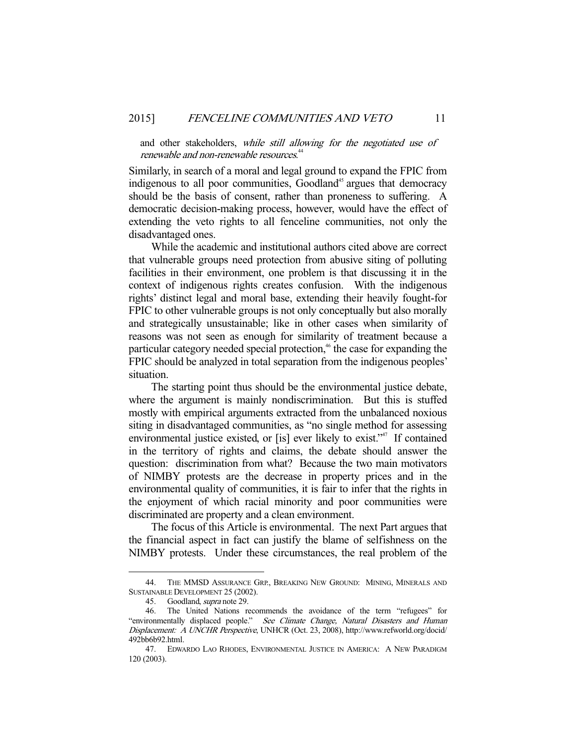and other stakeholders, while still allowing for the negotiated use of renewable and non-renewable resources.<sup>44</sup>

Similarly, in search of a moral and legal ground to expand the FPIC from indigenous to all poor communities, Goodland<sup>45</sup> argues that democracy should be the basis of consent, rather than proneness to suffering. A democratic decision-making process, however, would have the effect of extending the veto rights to all fenceline communities, not only the disadvantaged ones.

 While the academic and institutional authors cited above are correct that vulnerable groups need protection from abusive siting of polluting facilities in their environment, one problem is that discussing it in the context of indigenous rights creates confusion. With the indigenous rights' distinct legal and moral base, extending their heavily fought-for FPIC to other vulnerable groups is not only conceptually but also morally and strategically unsustainable; like in other cases when similarity of reasons was not seen as enough for similarity of treatment because a particular category needed special protection,<sup>46</sup> the case for expanding the FPIC should be analyzed in total separation from the indigenous peoples' situation.

 The starting point thus should be the environmental justice debate, where the argument is mainly nondiscrimination. But this is stuffed mostly with empirical arguments extracted from the unbalanced noxious siting in disadvantaged communities, as "no single method for assessing environmental justice existed, or [is] ever likely to exist."<sup>47</sup> If contained in the territory of rights and claims, the debate should answer the question: discrimination from what? Because the two main motivators of NIMBY protests are the decrease in property prices and in the environmental quality of communities, it is fair to infer that the rights in the enjoyment of which racial minority and poor communities were discriminated are property and a clean environment.

 The focus of this Article is environmental. The next Part argues that the financial aspect in fact can justify the blame of selfishness on the NIMBY protests. Under these circumstances, the real problem of the

 <sup>44.</sup> THE MMSD ASSURANCE GRP., BREAKING NEW GROUND: MINING, MINERALS AND SUSTAINABLE DEVELOPMENT 25 (2002).

 <sup>45.</sup> Goodland, supra note 29.

 <sup>46.</sup> The United Nations recommends the avoidance of the term "refugees" for "environmentally displaced people." See Climate Change, Natural Disasters and Human Displacement: A UNCHR Perspective, UNHCR (Oct. 23, 2008), http://www.refworld.org/docid/ 492bb6b92.html.

 <sup>47.</sup> EDWARDO LAO RHODES, ENVIRONMENTAL JUSTICE IN AMERICA: A NEW PARADIGM 120 (2003).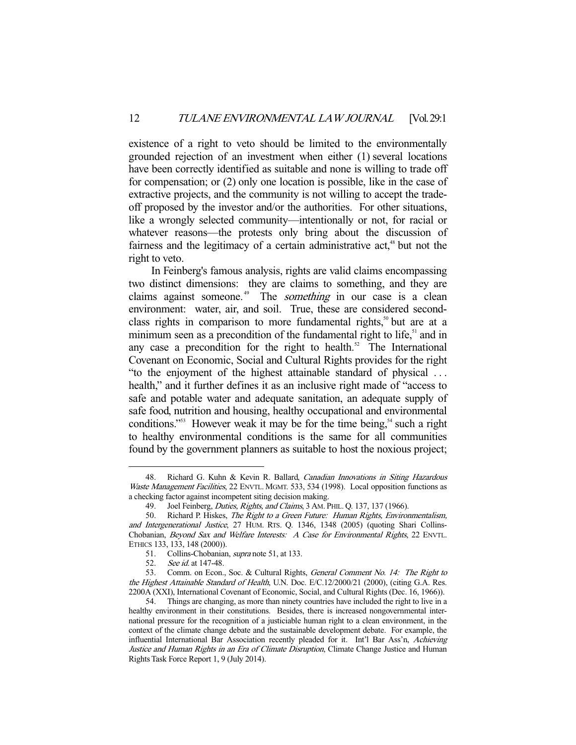existence of a right to veto should be limited to the environmentally grounded rejection of an investment when either (1) several locations have been correctly identified as suitable and none is willing to trade off for compensation; or (2) only one location is possible, like in the case of extractive projects, and the community is not willing to accept the tradeoff proposed by the investor and/or the authorities. For other situations, like a wrongly selected community—intentionally or not, for racial or whatever reasons—the protests only bring about the discussion of fairness and the legitimacy of a certain administrative  $act<sub>1</sub><sup>48</sup>$  but not the right to veto.

 In Feinberg's famous analysis, rights are valid claims encompassing two distinct dimensions: they are claims to something, and they are claims against someone.<sup>49</sup> The *something* in our case is a clean environment: water, air, and soil. True, these are considered secondclass rights in comparison to more fundamental rights, $50$  but are at a minimum seen as a precondition of the fundamental right to life,<sup>51</sup> and in any case a precondition for the right to health.<sup>52</sup> The International Covenant on Economic, Social and Cultural Rights provides for the right "to the enjoyment of the highest attainable standard of physical . . . health," and it further defines it as an inclusive right made of "access to safe and potable water and adequate sanitation, an adequate supply of safe food, nutrition and housing, healthy occupational and environmental conditions."<sup>53</sup> However weak it may be for the time being,<sup>54</sup> such a right to healthy environmental conditions is the same for all communities found by the government planners as suitable to host the noxious project;

<sup>48.</sup> Richard G. Kuhn & Kevin R. Ballard, Canadian Innovations in Siting Hazardous Waste Management Facilities, 22 ENVTL. MGMT. 533, 534 (1998). Local opposition functions as a checking factor against incompetent siting decision making.

<sup>49.</sup> Joel Feinberg, Duties, Rights, and Claims, 3 AM. PHIL. Q. 137, 137 (1966).

 <sup>50.</sup> Richard P. Hiskes, The Right to a Green Future: Human Rights, Environmentalism, and Intergenerational Justice, 27 HUM. RTS. Q. 1346, 1348 (2005) (quoting Shari Collins-Chobanian, Beyond Sax and Welfare Interests: A Case for Environmental Rights, 22 ENVTL. ETHICS 133, 133, 148 (2000)).

 <sup>51.</sup> Collins-Chobanian, supra note 51, at 133.

<sup>52.</sup> See id. at 147-48.

<sup>53.</sup> Comm. on Econ., Soc. & Cultural Rights, General Comment No. 14: The Right to the Highest Attainable Standard of Health, U.N. Doc. E/C.12/2000/21 (2000), (citing G.A. Res. 2200A (XXI), International Covenant of Economic, Social, and Cultural Rights (Dec. 16, 1966)).

 <sup>54.</sup> Things are changing, as more than ninety countries have included the right to live in a healthy environment in their constitutions. Besides, there is increased nongovernmental international pressure for the recognition of a justiciable human right to a clean environment, in the context of the climate change debate and the sustainable development debate. For example, the influential International Bar Association recently pleaded for it. Int'l Bar Ass'n, Achieving Justice and Human Rights in an Era of Climate Disruption, Climate Change Justice and Human Rights Task Force Report 1, 9 (July 2014).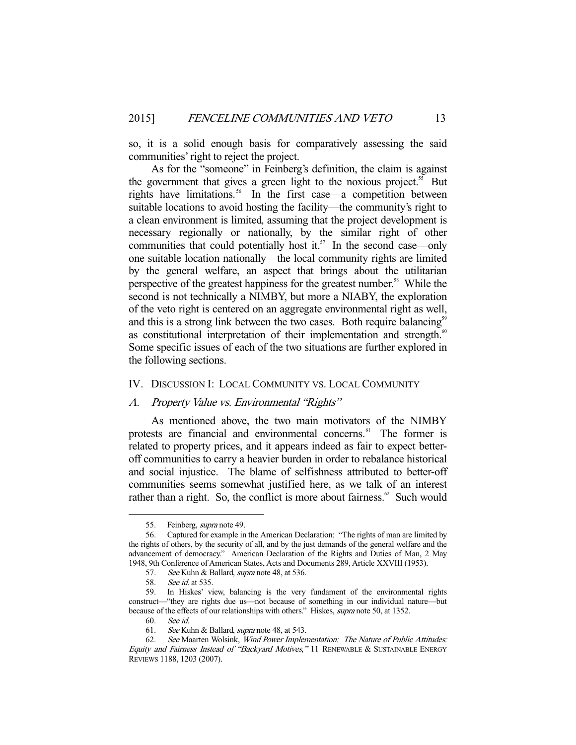so, it is a solid enough basis for comparatively assessing the said communities' right to reject the project.

 As for the "someone" in Feinberg's definition, the claim is against the government that gives a green light to the noxious project.<sup>55</sup> But rights have limitations.<sup>56</sup> In the first case—a competition between suitable locations to avoid hosting the facility—the community's right to a clean environment is limited, assuming that the project development is necessary regionally or nationally, by the similar right of other communities that could potentially host it. $57$  In the second case—only one suitable location nationally—the local community rights are limited by the general welfare, an aspect that brings about the utilitarian perspective of the greatest happiness for the greatest number.<sup>58</sup> While the second is not technically a NIMBY, but more a NIABY, the exploration of the veto right is centered on an aggregate environmental right as well, and this is a strong link between the two cases. Both require balancing $^{59}$ as constitutional interpretation of their implementation and strength.<sup>60</sup> Some specific issues of each of the two situations are further explored in the following sections.

#### IV. DISCUSSION I: LOCAL COMMUNITY VS. LOCAL COMMUNITY

#### A. Property Value vs. Environmental "Rights"

 As mentioned above, the two main motivators of the NIMBY protests are financial and environmental concerns.<sup>61</sup> The former is related to property prices, and it appears indeed as fair to expect betteroff communities to carry a heavier burden in order to rebalance historical and social injustice. The blame of selfishness attributed to better-off communities seems somewhat justified here, as we talk of an interest rather than a right. So, the conflict is more about fairness. $62$  Such would

 <sup>55.</sup> Feinberg, supra note 49.

 <sup>56.</sup> Captured for example in the American Declaration: "The rights of man are limited by the rights of others, by the security of all, and by the just demands of the general welfare and the advancement of democracy." American Declaration of the Rights and Duties of Man, 2 May 1948, 9th Conference of American States, Acts and Documents 289, Article XXVIII (1953).

<sup>57.</sup> See Kuhn & Ballard, supra note 48, at 536.

 <sup>58.</sup> See id. at 535.

 <sup>59.</sup> In Hiskes' view, balancing is the very fundament of the environmental rights construct—"they are rights due us—not because of something in our individual nature—but because of the effects of our relationships with others." Hiskes, *supra* note 50, at 1352.

 <sup>60.</sup> See id.

 <sup>61.</sup> See Kuhn & Ballard, supra note 48, at 543.

 <sup>62.</sup> See Maarten Wolsink, Wind Power Implementation: The Nature of Public Attitudes: Equity and Fairness Instead of "Backyard Motives," 11 RENEWABLE & SUSTAINABLE ENERGY REVIEWS 1188, 1203 (2007).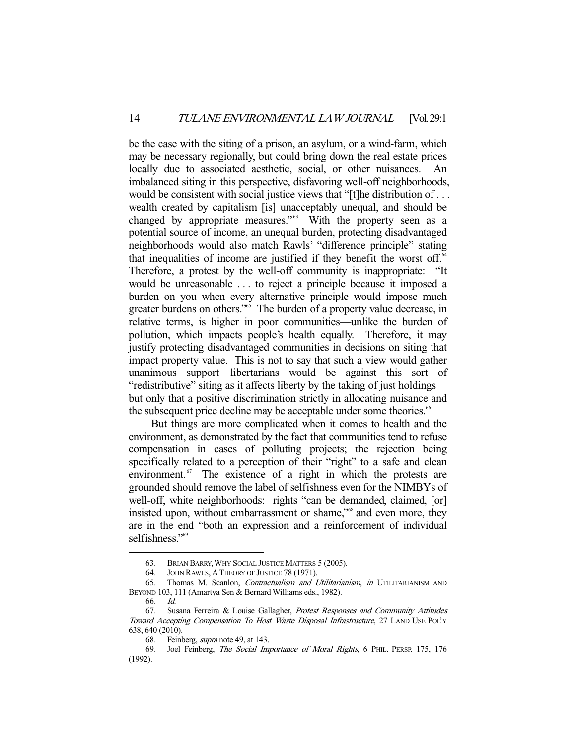be the case with the siting of a prison, an asylum, or a wind-farm, which may be necessary regionally, but could bring down the real estate prices locally due to associated aesthetic, social, or other nuisances. An imbalanced siting in this perspective, disfavoring well-off neighborhoods, would be consistent with social justice views that "[t]he distribution of . . . wealth created by capitalism [is] unacceptably unequal, and should be changed by appropriate measures."<sup>63</sup> With the property seen as a potential source of income, an unequal burden, protecting disadvantaged neighborhoods would also match Rawls' "difference principle" stating that inequalities of income are justified if they benefit the worst off.<sup>64</sup> Therefore, a protest by the well-off community is inappropriate: "It would be unreasonable . . . to reject a principle because it imposed a burden on you when every alternative principle would impose much greater burdens on others."<sup>65</sup> The burden of a property value decrease, in relative terms, is higher in poor communities—unlike the burden of pollution, which impacts people's health equally. Therefore, it may justify protecting disadvantaged communities in decisions on siting that impact property value. This is not to say that such a view would gather unanimous support—libertarians would be against this sort of "redistributive" siting as it affects liberty by the taking of just holdings but only that a positive discrimination strictly in allocating nuisance and the subsequent price decline may be acceptable under some theories.<sup>66</sup>

 But things are more complicated when it comes to health and the environment, as demonstrated by the fact that communities tend to refuse compensation in cases of polluting projects; the rejection being specifically related to a perception of their "right" to a safe and clean environment. $\alpha$ <sup>67</sup> The existence of a right in which the protests are grounded should remove the label of selfishness even for the NIMBYs of well-off, white neighborhoods: rights "can be demanded, claimed, [or] insisted upon, without embarrassment or shame,"68 and even more, they are in the end "both an expression and a reinforcement of individual selfishness."<sup>69</sup>

 <sup>63.</sup> BRIAN BARRY,WHY SOCIAL JUSTICE MATTERS 5 (2005).

 <sup>64.</sup> JOHN RAWLS, ATHEORY OF JUSTICE 78 (1971).

 <sup>65.</sup> Thomas M. Scanlon, Contractualism and Utilitarianism, in UTILITARIANISM AND BEYOND 103, 111 (Amartya Sen & Bernard Williams eds., 1982).

<sup>66.</sup> *Id.*<br>67. Sus

Susana Ferreira & Louise Gallagher, Protest Responses and Community Attitudes Toward Accepting Compensation To Host Waste Disposal Infrastructure, 27 LAND USE POL'Y 638, 640 (2010).

<sup>68.</sup> Feinberg, *supra* note 49, at 143.

 <sup>69.</sup> Joel Feinberg, The Social Importance of Moral Rights, 6 PHIL. PERSP. 175, 176 (1992).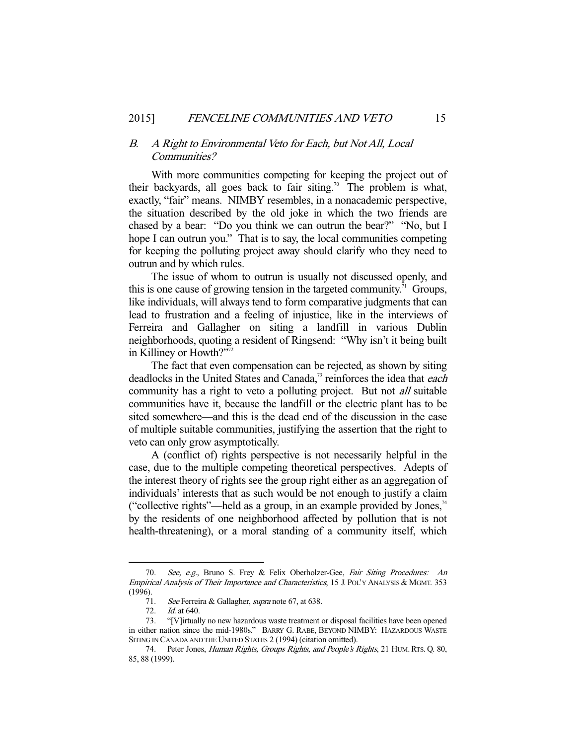#### B. A Right to Environmental Veto for Each, but Not All, Local Communities?

 With more communities competing for keeping the project out of their backyards, all goes back to fair siting.<sup>70</sup> The problem is what, exactly, "fair" means. NIMBY resembles, in a nonacademic perspective, the situation described by the old joke in which the two friends are chased by a bear: "Do you think we can outrun the bear?" "No, but I hope I can outrun you." That is to say, the local communities competing for keeping the polluting project away should clarify who they need to outrun and by which rules.

 The issue of whom to outrun is usually not discussed openly, and this is one cause of growing tension in the targeted community.<sup>71</sup> Groups, like individuals, will always tend to form comparative judgments that can lead to frustration and a feeling of injustice, like in the interviews of Ferreira and Gallagher on siting a landfill in various Dublin neighborhoods, quoting a resident of Ringsend: "Why isn't it being built in Killiney or Howth?"<sup>72</sup>

 The fact that even compensation can be rejected, as shown by siting deadlocks in the United States and Canada,<sup>3</sup> reinforces the idea that each community has a right to veto a polluting project. But not *all* suitable communities have it, because the landfill or the electric plant has to be sited somewhere—and this is the dead end of the discussion in the case of multiple suitable communities, justifying the assertion that the right to veto can only grow asymptotically.

 A (conflict of) rights perspective is not necessarily helpful in the case, due to the multiple competing theoretical perspectives. Adepts of the interest theory of rights see the group right either as an aggregation of individuals' interests that as such would be not enough to justify a claim ("collective rights"—held as a group, in an example provided by Jones, $74$ by the residents of one neighborhood affected by pollution that is not health-threatening), or a moral standing of a community itself, which

<sup>70.</sup> See, e.g., Bruno S. Frey & Felix Oberholzer-Gee, Fair Siting Procedures: An Empirical Analysis of Their Importance and Characteristics, 15 J. POL'Y ANALYSIS & MGMT. 353 (1996).

<sup>71.</sup> See Ferreira & Gallagher, supra note 67, at 638.

 <sup>72.</sup> Id. at 640.

 <sup>73. &</sup>quot;[V]irtually no new hazardous waste treatment or disposal facilities have been opened in either nation since the mid-1980s." BARRY G. RABE, BEYOND NIMBY: HAZARDOUS WASTE SITING IN CANADA AND THE UNITED STATES 2 (1994) (citation omitted).

<sup>74.</sup> Peter Jones, Human Rights, Groups Rights, and People's Rights, 21 HUM. RTS. Q. 80, 85, 88 (1999).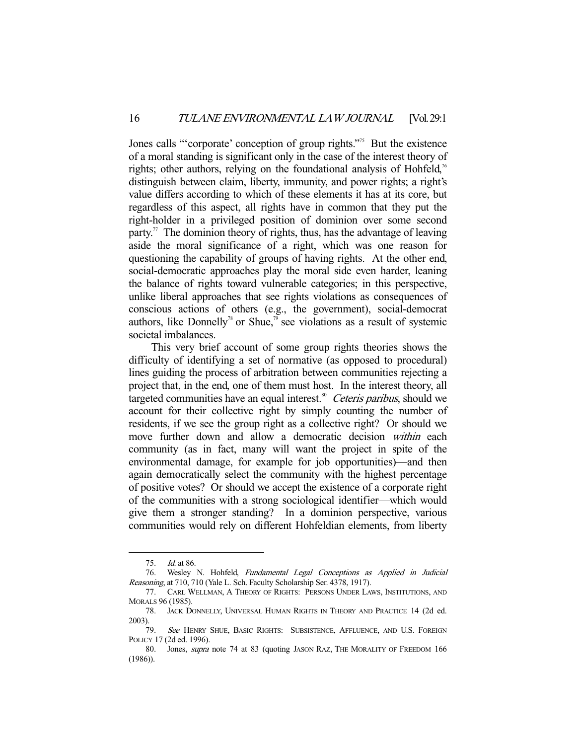Jones calls "'corporate' conception of group rights."<sup>75</sup> But the existence of a moral standing is significant only in the case of the interest theory of rights; other authors, relying on the foundational analysis of Hohfeld,<sup>76</sup> distinguish between claim, liberty, immunity, and power rights; a right's value differs according to which of these elements it has at its core, but regardless of this aspect, all rights have in common that they put the right-holder in a privileged position of dominion over some second party.<sup>77</sup> The dominion theory of rights, thus, has the advantage of leaving aside the moral significance of a right, which was one reason for questioning the capability of groups of having rights. At the other end, social-democratic approaches play the moral side even harder, leaning the balance of rights toward vulnerable categories; in this perspective, unlike liberal approaches that see rights violations as consequences of conscious actions of others (e.g., the government), social-democrat authors, like Donnelly<sup>78</sup> or Shue,<sup>79</sup> see violations as a result of systemic societal imbalances.

 This very brief account of some group rights theories shows the difficulty of identifying a set of normative (as opposed to procedural) lines guiding the process of arbitration between communities rejecting a project that, in the end, one of them must host. In the interest theory, all targeted communities have an equal interest.<sup>80</sup> Ceteris paribus, should we account for their collective right by simply counting the number of residents, if we see the group right as a collective right? Or should we move further down and allow a democratic decision within each community (as in fact, many will want the project in spite of the environmental damage, for example for job opportunities)—and then again democratically select the community with the highest percentage of positive votes? Or should we accept the existence of a corporate right of the communities with a strong sociological identifier—which would give them a stronger standing? In a dominion perspective, various communities would rely on different Hohfeldian elements, from liberty

 <sup>75.</sup> Id. at 86.

 <sup>76.</sup> Wesley N. Hohfeld, Fundamental Legal Conceptions as Applied in Judicial Reasoning, at 710, 710 (Yale L. Sch. Faculty Scholarship Ser. 4378, 1917).

 <sup>77.</sup> CARL WELLMAN, A THEORY OF RIGHTS: PERSONS UNDER LAWS, INSTITUTIONS, AND MORALS 96 (1985).

 <sup>78.</sup> JACK DONNELLY, UNIVERSAL HUMAN RIGHTS IN THEORY AND PRACTICE 14 (2d ed. 2003).

<sup>79.</sup> See HENRY SHUE, BASIC RIGHTS: SUBSISTENCE, AFFLUENCE, AND U.S. FOREIGN POLICY 17 (2d ed. 1996).

 <sup>80.</sup> Jones, supra note 74 at 83 (quoting JASON RAZ, THE MORALITY OF FREEDOM 166 (1986)).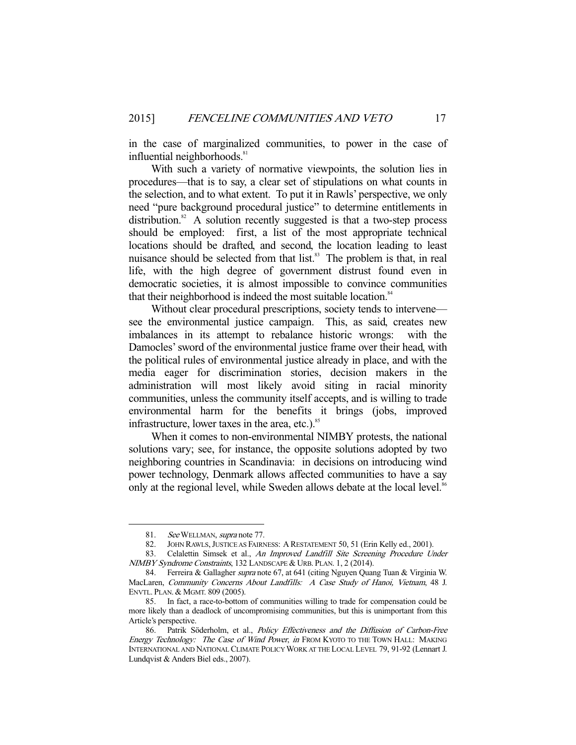in the case of marginalized communities, to power in the case of influential neighborhoods.<sup>81</sup>

 With such a variety of normative viewpoints, the solution lies in procedures—that is to say, a clear set of stipulations on what counts in the selection, and to what extent. To put it in Rawls' perspective, we only need "pure background procedural justice" to determine entitlements in distribution.<sup>82</sup> A solution recently suggested is that a two-step process should be employed: first, a list of the most appropriate technical locations should be drafted, and second, the location leading to least nuisance should be selected from that list.<sup>83</sup> The problem is that, in real life, with the high degree of government distrust found even in democratic societies, it is almost impossible to convince communities that their neighborhood is indeed the most suitable location.<sup>84</sup>

 Without clear procedural prescriptions, society tends to intervene see the environmental justice campaign. This, as said, creates new imbalances in its attempt to rebalance historic wrongs: with the Damocles' sword of the environmental justice frame over their head, with the political rules of environmental justice already in place, and with the media eager for discrimination stories, decision makers in the administration will most likely avoid siting in racial minority communities, unless the community itself accepts, and is willing to trade environmental harm for the benefits it brings (jobs, improved infrastructure, lower taxes in the area, etc.). $85$ 

 When it comes to non-environmental NIMBY protests, the national solutions vary; see, for instance, the opposite solutions adopted by two neighboring countries in Scandinavia: in decisions on introducing wind power technology, Denmark allows affected communities to have a say only at the regional level, while Sweden allows debate at the local level.<sup>86</sup>

<sup>81.</sup> See WELLMAN, supra note 77.

 <sup>82.</sup> JOHN RAWLS,JUSTICE AS FAIRNESS: A RESTATEMENT 50, 51 (Erin Kelly ed., 2001).

 <sup>83.</sup> Celalettin Simsek et al., An Improved Landfill Site Screening Procedure Under NIMBY Syndrome Constraints, 132 LANDSCAPE & URB. PLAN. 1, 2 (2014).

<sup>84.</sup> Ferreira & Gallagher supra note 67, at 641 (citing Nguyen Quang Tuan & Virginia W. MacLaren, Community Concerns About Landfills: A Case Study of Hanoi, Vietnam, 48 J. ENVTL. PLAN. & MGMT. 809 (2005).

 <sup>85.</sup> In fact, a race-to-bottom of communities willing to trade for compensation could be more likely than a deadlock of uncompromising communities, but this is unimportant from this Article's perspective.

<sup>86.</sup> Patrik Söderholm, et al., Policy Effectiveness and the Diffusion of Carbon-Free Energy Technology: The Case of Wind Power, in FROM KYOTO TO THE TOWN HALL: MAKING INTERNATIONAL AND NATIONAL CLIMATE POLICY WORK AT THE LOCAL LEVEL 79, 91-92 (Lennart J. Lundqvist & Anders Biel eds., 2007).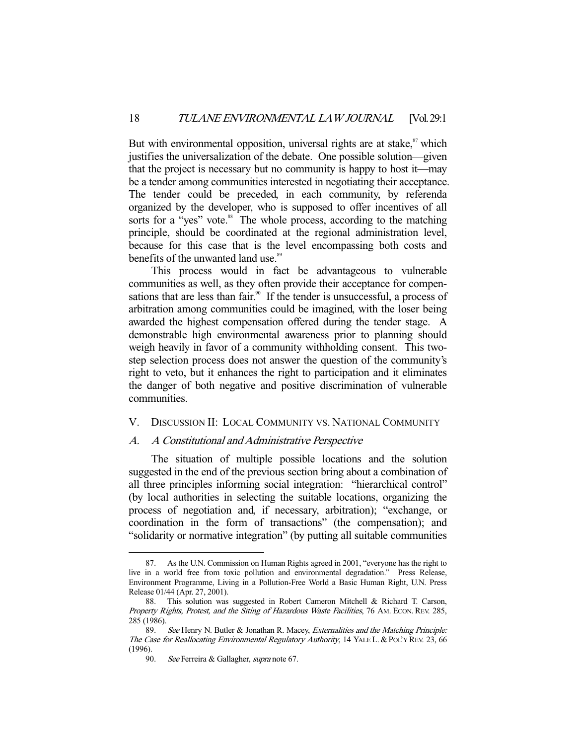But with environmental opposition, universal rights are at stake, $\frac{87}{3}$  which justifies the universalization of the debate. One possible solution—given that the project is necessary but no community is happy to host it—may be a tender among communities interested in negotiating their acceptance. The tender could be preceded, in each community, by referenda organized by the developer, who is supposed to offer incentives of all sorts for a "yes" vote.<sup>88</sup> The whole process, according to the matching principle, should be coordinated at the regional administration level, because for this case that is the level encompassing both costs and benefits of the unwanted land use.<sup>89</sup>

 This process would in fact be advantageous to vulnerable communities as well, as they often provide their acceptance for compensations that are less than fair.<sup>90</sup> If the tender is unsuccessful, a process of arbitration among communities could be imagined, with the loser being awarded the highest compensation offered during the tender stage. A demonstrable high environmental awareness prior to planning should weigh heavily in favor of a community withholding consent. This twostep selection process does not answer the question of the community's right to veto, but it enhances the right to participation and it eliminates the danger of both negative and positive discrimination of vulnerable communities.

#### V. DISCUSSION II: LOCAL COMMUNITY VS. NATIONAL COMMUNITY

#### A. A Constitutional and Administrative Perspective

 The situation of multiple possible locations and the solution suggested in the end of the previous section bring about a combination of all three principles informing social integration: "hierarchical control" (by local authorities in selecting the suitable locations, organizing the process of negotiation and, if necessary, arbitration); "exchange, or coordination in the form of transactions" (the compensation); and "solidarity or normative integration" (by putting all suitable communities

 <sup>87.</sup> As the U.N. Commission on Human Rights agreed in 2001, "everyone has the right to live in a world free from toxic pollution and environmental degradation." Press Release, Environment Programme, Living in a Pollution-Free World a Basic Human Right, U.N. Press Release 01/44 (Apr. 27, 2001).

 <sup>88.</sup> This solution was suggested in Robert Cameron Mitchell & Richard T. Carson, Property Rights, Protest, and the Siting of Hazardous Waste Facilities, 76 AM. ECON. REV. 285, 285 (1986).

See Henry N. Butler & Jonathan R. Macey, Externalities and the Matching Principle: The Case for Reallocating Environmental Regulatory Authority, 14 YALE L. & POL'Y REV. 23, 66 (1996).

<sup>90.</sup> See Ferreira & Gallagher, supra note 67.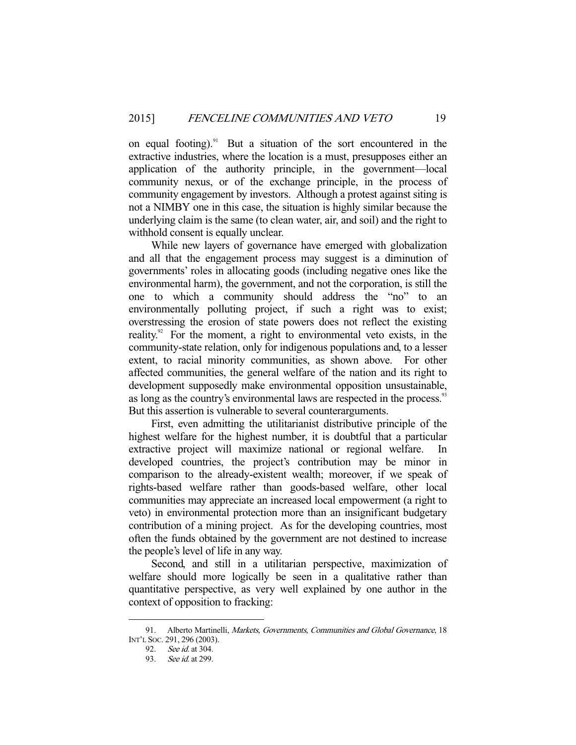on equal footing).<sup>91</sup> But a situation of the sort encountered in the extractive industries, where the location is a must, presupposes either an application of the authority principle, in the government—local community nexus, or of the exchange principle, in the process of community engagement by investors. Although a protest against siting is not a NIMBY one in this case, the situation is highly similar because the underlying claim is the same (to clean water, air, and soil) and the right to withhold consent is equally unclear.

 While new layers of governance have emerged with globalization and all that the engagement process may suggest is a diminution of governments' roles in allocating goods (including negative ones like the environmental harm), the government, and not the corporation, is still the one to which a community should address the "no" to an environmentally polluting project, if such a right was to exist; overstressing the erosion of state powers does not reflect the existing reality.<sup>92</sup> For the moment, a right to environmental veto exists, in the community-state relation, only for indigenous populations and, to a lesser extent, to racial minority communities, as shown above. For other affected communities, the general welfare of the nation and its right to development supposedly make environmental opposition unsustainable, as long as the country's environmental laws are respected in the process.<sup>93</sup> But this assertion is vulnerable to several counterarguments.

 First, even admitting the utilitarianist distributive principle of the highest welfare for the highest number, it is doubtful that a particular extractive project will maximize national or regional welfare. developed countries, the project's contribution may be minor in comparison to the already-existent wealth; moreover, if we speak of rights-based welfare rather than goods-based welfare, other local communities may appreciate an increased local empowerment (a right to veto) in environmental protection more than an insignificant budgetary contribution of a mining project. As for the developing countries, most often the funds obtained by the government are not destined to increase the people's level of life in any way.

 Second, and still in a utilitarian perspective, maximization of welfare should more logically be seen in a qualitative rather than quantitative perspective, as very well explained by one author in the context of opposition to fracking:

 <sup>91.</sup> Alberto Martinelli, Markets, Governments, Communities and Global Governance, 18 INT'L SOC. 291, 296 (2003).

 <sup>92.</sup> See id. at 304.

 <sup>93.</sup> See id. at 299.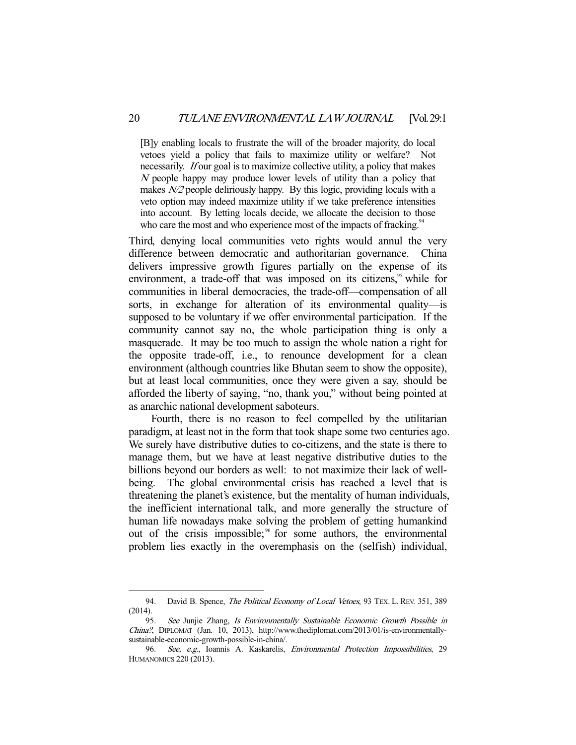[B]y enabling locals to frustrate the will of the broader majority, do local vetoes yield a policy that fails to maximize utility or welfare? Not necessarily. *If* our goal is to maximize collective utility, a policy that makes <sup>N</sup> people happy may produce lower levels of utility than a policy that makes  $N/2$  people deliriously happy. By this logic, providing locals with a veto option may indeed maximize utility if we take preference intensities into account. By letting locals decide, we allocate the decision to those who care the most and who experience most of the impacts of fracking.<sup>94</sup>

Third, denying local communities veto rights would annul the very difference between democratic and authoritarian governance. China delivers impressive growth figures partially on the expense of its environment, a trade-off that was imposed on its citizens, $\frac{95}{3}$  while for communities in liberal democracies, the trade-off—compensation of all sorts, in exchange for alteration of its environmental quality—is supposed to be voluntary if we offer environmental participation. If the community cannot say no, the whole participation thing is only a masquerade. It may be too much to assign the whole nation a right for the opposite trade-off, i.e., to renounce development for a clean environment (although countries like Bhutan seem to show the opposite), but at least local communities, once they were given a say, should be afforded the liberty of saying, "no, thank you," without being pointed at as anarchic national development saboteurs.

 Fourth, there is no reason to feel compelled by the utilitarian paradigm, at least not in the form that took shape some two centuries ago. We surely have distributive duties to co-citizens, and the state is there to manage them, but we have at least negative distributive duties to the billions beyond our borders as well: to not maximize their lack of wellbeing. The global environmental crisis has reached a level that is threatening the planet's existence, but the mentality of human individuals, the inefficient international talk, and more generally the structure of human life nowadays make solving the problem of getting humankind out of the crisis impossible;<sup>36</sup> for some authors, the environmental problem lies exactly in the overemphasis on the (selfish) individual,

<sup>94.</sup> David B. Spence, The Political Economy of Local Vetoes, 93 TEX. L. REV. 351, 389 (2014).

 <sup>95.</sup> See Junjie Zhang, Is Environmentally Sustainable Economic Growth Possible in China?, DIPLOMAT (Jan. 10, 2013), http://www.thediplomat.com/2013/01/is-environmentallysustainable-economic-growth-possible-in-china/.

 <sup>96.</sup> See, e.g., Ioannis A. Kaskarelis, Environmental Protection Impossibilities, 29 HUMANOMICS 220 (2013).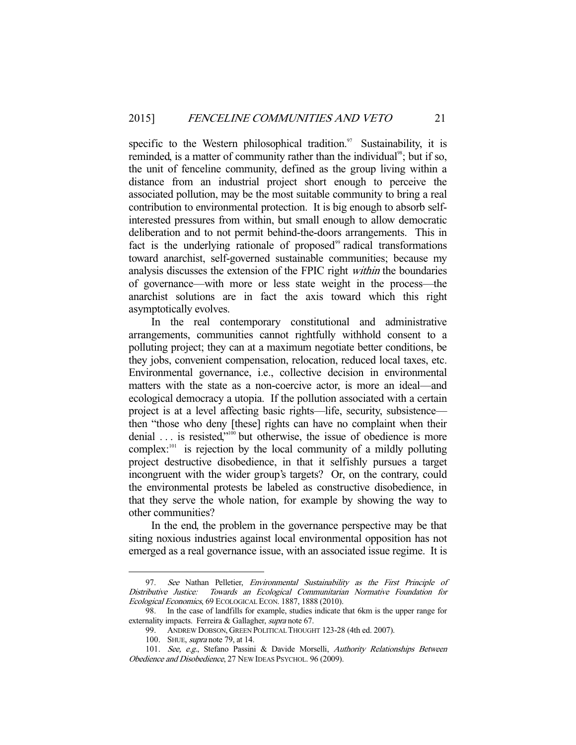specific to the Western philosophical tradition.<sup>97</sup> Sustainability, it is reminded, is a matter of community rather than the individual<sup>98</sup>; but if so, the unit of fenceline community, defined as the group living within a distance from an industrial project short enough to perceive the associated pollution, may be the most suitable community to bring a real contribution to environmental protection. It is big enough to absorb selfinterested pressures from within, but small enough to allow democratic deliberation and to not permit behind-the-doors arrangements. This in fact is the underlying rationale of proposed $\theta$ <sup>99</sup> radical transformations toward anarchist, self-governed sustainable communities; because my analysis discusses the extension of the FPIC right within the boundaries of governance—with more or less state weight in the process—the anarchist solutions are in fact the axis toward which this right asymptotically evolves.

 In the real contemporary constitutional and administrative arrangements, communities cannot rightfully withhold consent to a polluting project; they can at a maximum negotiate better conditions, be they jobs, convenient compensation, relocation, reduced local taxes, etc. Environmental governance, i.e., collective decision in environmental matters with the state as a non-coercive actor, is more an ideal—and ecological democracy a utopia. If the pollution associated with a certain project is at a level affecting basic rights—life, security, subsistence then "those who deny [these] rights can have no complaint when their denial ... is resisted,"<sup>100</sup> but otherwise, the issue of obedience is more complex: $101$  is rejection by the local community of a mildly polluting project destructive disobedience, in that it selfishly pursues a target incongruent with the wider group's targets? Or, on the contrary, could the environmental protests be labeled as constructive disobedience, in that they serve the whole nation, for example by showing the way to other communities?

 In the end, the problem in the governance perspective may be that siting noxious industries against local environmental opposition has not emerged as a real governance issue, with an associated issue regime. It is

<sup>97.</sup> See Nathan Pelletier, Environmental Sustainability as the First Principle of Distributive Justice: Towards an Ecological Communitarian Normative Foundation for Ecological Economics, 69 ECOLOGICAL ECON. 1887, 1888 (2010).

 <sup>98.</sup> In the case of landfills for example, studies indicate that 6km is the upper range for externality impacts. Ferreira & Gallagher, supra note 67.

 <sup>99.</sup> ANDREW DOBSON, GREEN POLITICAL THOUGHT 123-28 (4th ed. 2007).

 <sup>100.</sup> SHUE, supra note 79, at 14.

<sup>101.</sup> See, e.g., Stefano Passini & Davide Morselli, Authority Relationships Between Obedience and Disobedience, 27 NEW IDEAS PSYCHOL. 96 (2009).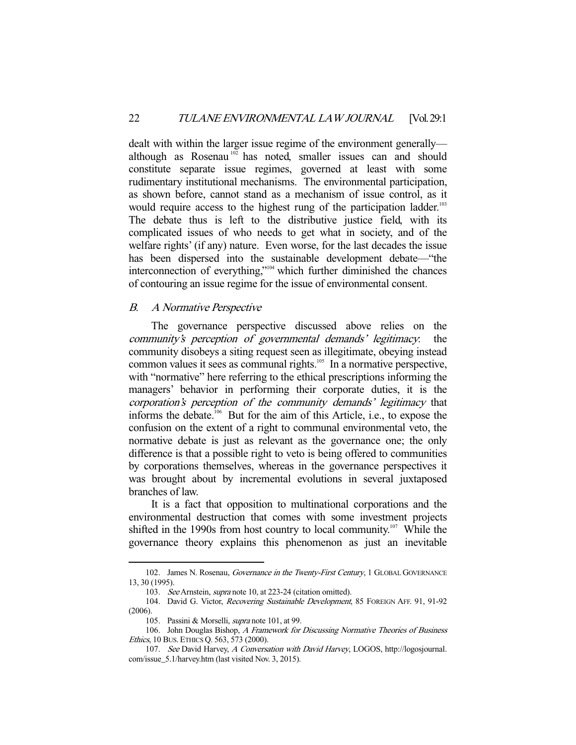dealt with within the larger issue regime of the environment generally although as Rosenau<sup>102</sup> has noted, smaller issues can and should constitute separate issue regimes, governed at least with some rudimentary institutional mechanisms. The environmental participation, as shown before, cannot stand as a mechanism of issue control, as it would require access to the highest rung of the participation ladder.<sup>103</sup> The debate thus is left to the distributive justice field, with its complicated issues of who needs to get what in society, and of the welfare rights' (if any) nature. Even worse, for the last decades the issue has been dispersed into the sustainable development debate—"the interconnection of everything,"104 which further diminished the chances of contouring an issue regime for the issue of environmental consent.

#### B. A Normative Perspective

 The governance perspective discussed above relies on the community's perception of governmental demands' legitimacy: the community disobeys a siting request seen as illegitimate, obeying instead common values it sees as communal rights.<sup>105</sup> In a normative perspective, with "normative" here referring to the ethical prescriptions informing the managers' behavior in performing their corporate duties, it is the corporation's perception of the community demands' legitimacy that informs the debate.106 But for the aim of this Article, i.e., to expose the confusion on the extent of a right to communal environmental veto, the normative debate is just as relevant as the governance one; the only difference is that a possible right to veto is being offered to communities by corporations themselves, whereas in the governance perspectives it was brought about by incremental evolutions in several juxtaposed branches of law.

 It is a fact that opposition to multinational corporations and the environmental destruction that comes with some investment projects shifted in the 1990s from host country to local community.<sup>107</sup> While the governance theory explains this phenomenon as just an inevitable

<sup>102.</sup> James N. Rosenau, Governance in the Twenty-First Century, 1 GLOBAL GOVERNANCE 13, 30 (1995).

 <sup>103.</sup> See Arnstein, supra note 10, at 223-24 (citation omitted).

<sup>104.</sup> David G. Victor, Recovering Sustainable Development, 85 FOREIGN AFF. 91, 91-92 (2006).

 <sup>105.</sup> Passini & Morselli, supra note 101, at 99.

<sup>106.</sup> John Douglas Bishop, A Framework for Discussing Normative Theories of Business Ethics, 10 BUS. ETHICS Q. 563, 573 (2000).

 <sup>107.</sup> See David Harvey, A Conversation with David Harvey, LOGOS, http://logosjournal. com/issue\_5.1/harvey.htm (last visited Nov. 3, 2015).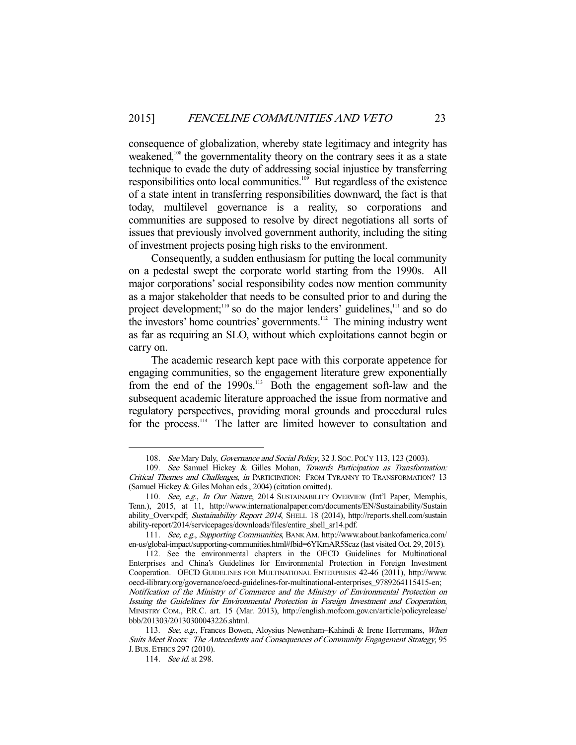consequence of globalization, whereby state legitimacy and integrity has weakened,<sup>108</sup> the governmentality theory on the contrary sees it as a state technique to evade the duty of addressing social injustice by transferring responsibilities onto local communities. $109$  But regardless of the existence of a state intent in transferring responsibilities downward, the fact is that today, multilevel governance is a reality, so corporations and communities are supposed to resolve by direct negotiations all sorts of issues that previously involved government authority, including the siting of investment projects posing high risks to the environment.

 Consequently, a sudden enthusiasm for putting the local community on a pedestal swept the corporate world starting from the 1990s. All major corporations' social responsibility codes now mention community as a major stakeholder that needs to be consulted prior to and during the project development;<sup>110</sup> so do the major lenders' guidelines,<sup>111</sup> and so do the investors' home countries' governments. $112$  The mining industry went as far as requiring an SLO, without which exploitations cannot begin or carry on.

 The academic research kept pace with this corporate appetence for engaging communities, so the engagement literature grew exponentially from the end of the 1990s.113 Both the engagement soft-law and the subsequent academic literature approached the issue from normative and regulatory perspectives, providing moral grounds and procedural rules for the process.<sup>114</sup> The latter are limited however to consultation and

<sup>108.</sup> See Mary Daly, Governance and Social Policy, 32 J. Soc. PoL'y 113, 123 (2003).

<sup>109.</sup> See Samuel Hickey & Gilles Mohan, Towards Participation as Transformation: Critical Themes and Challenges, in PARTICIPATION: FROM TYRANNY TO TRANSFORMATION? 13 (Samuel Hickey & Giles Mohan eds., 2004) (citation omitted).

<sup>110.</sup> See, e.g., In Our Nature, 2014 SUSTAINABILITY OVERVIEW (Int'l Paper, Memphis, Tenn.), 2015, at 11, http://www.internationalpaper.com/documents/EN/Sustainability/Sustain ability\_Overv.pdf; Sustainability Report 2014, SHELL 18 (2014), http://reports.shell.com/sustain ability-report/2014/servicepages/downloads/files/entire\_shell\_sr14.pdf.

 <sup>111.</sup> See, e.g., Supporting Communities, BANK AM. http://www.about.bankofamerica.com/ en-us/global-impact/supporting-communities.html#fbid=6YKmAR5Scaz (last visited Oct. 29, 2015).

 <sup>112.</sup> See the environmental chapters in the OECD Guidelines for Multinational Enterprises and China's Guidelines for Environmental Protection in Foreign Investment Cooperation. OECD GUIDELINES FOR MULTINATIONAL ENTERPRISES 42-46 (2011), http://www. oecd-ilibrary.org/governance/oecd-guidelines-for-multinational-enterprises\_9789264115415-en; Notification of the Ministry of Commerce and the Ministry of Environmental Protection on Issuing the Guidelines for Environmental Protection in Foreign Investment and Cooperation, MINISTRY COM., P.R.C. art. 15 (Mar. 2013), http://english.mofcom.gov.cn/article/policyrelease/ bbb/201303/20130300043226.shtml.

<sup>113.</sup> See, e.g., Frances Bowen, Aloysius Newenham-Kahindi & Irene Herremans, When Suits Meet Roots: The Antecedents and Consequences of Community Engagement Strategy, 95 J.BUS.ETHICS 297 (2010).

<sup>114.</sup> See id. at 298.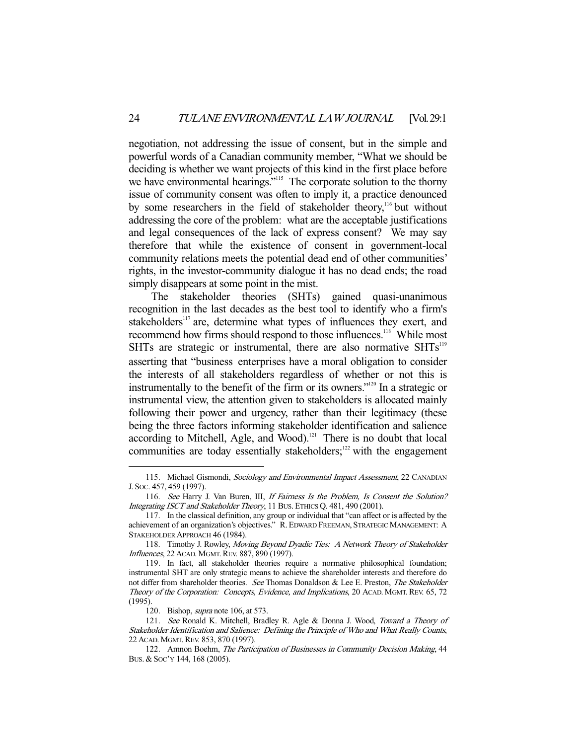negotiation, not addressing the issue of consent, but in the simple and powerful words of a Canadian community member, "What we should be deciding is whether we want projects of this kind in the first place before we have environmental hearings."<sup>115</sup> The corporate solution to the thorny issue of community consent was often to imply it, a practice denounced by some researchers in the field of stakeholder theory,<sup>116</sup> but without addressing the core of the problem: what are the acceptable justifications and legal consequences of the lack of express consent? We may say therefore that while the existence of consent in government-local community relations meets the potential dead end of other communities' rights, in the investor-community dialogue it has no dead ends; the road simply disappears at some point in the mist.

 The stakeholder theories (SHTs) gained quasi-unanimous recognition in the last decades as the best tool to identify who a firm's stakeholders<sup>117</sup> are, determine what types of influences they exert, and recommend how firms should respond to those influences.<sup>118</sup> While most SHTs are strategic or instrumental, there are also normative  $SHTs<sup>119</sup>$ asserting that "business enterprises have a moral obligation to consider the interests of all stakeholders regardless of whether or not this is instrumentally to the benefit of the firm or its owners."120 In a strategic or instrumental view, the attention given to stakeholders is allocated mainly following their power and urgency, rather than their legitimacy (these being the three factors informing stakeholder identification and salience according to Mitchell, Agle, and Wood). $121$  There is no doubt that local communities are today essentially stakeholders; $122$  with the engagement

<sup>115.</sup> Michael Gismondi, Sociology and Environmental Impact Assessment, 22 CANADIAN J. SOC. 457, 459 (1997).

<sup>116.</sup> See Harry J. Van Buren, III, If Fairness Is the Problem, Is Consent the Solution? Integrating ISCT and Stakeholder Theory, 11 BUS. ETHICS Q. 481, 490 (2001).

 <sup>117.</sup> In the classical definition, any group or individual that "can affect or is affected by the achievement of an organization's objectives." R.EDWARD FREEMAN, STRATEGIC MANAGEMENT: A STAKEHOLDER APPROACH 46 (1984).

<sup>118.</sup> Timothy J. Rowley, Moving Beyond Dyadic Ties: A Network Theory of Stakeholder Influences, 22 ACAD. MGMT.REV. 887, 890 (1997).

 <sup>119.</sup> In fact, all stakeholder theories require a normative philosophical foundation; instrumental SHT are only strategic means to achieve the shareholder interests and therefore do not differ from shareholder theories. See Thomas Donaldson & Lee E. Preston, The Stakeholder Theory of the Corporation: Concepts, Evidence, and Implications, 20 ACAD. MGMT.REV. 65, 72 (1995).

 <sup>120.</sup> Bishop, supra note 106, at 573.

 <sup>121.</sup> See Ronald K. Mitchell, Bradley R. Agle & Donna J. Wood, Toward a Theory of Stakeholder Identification and Salience: Defining the Principle of Who and What Really Counts, 22 ACAD. MGMT.REV. 853, 870 (1997).

 <sup>122.</sup> Amnon Boehm, The Participation of Businesses in Community Decision Making, 44 BUS. & SOC'Y 144, 168 (2005).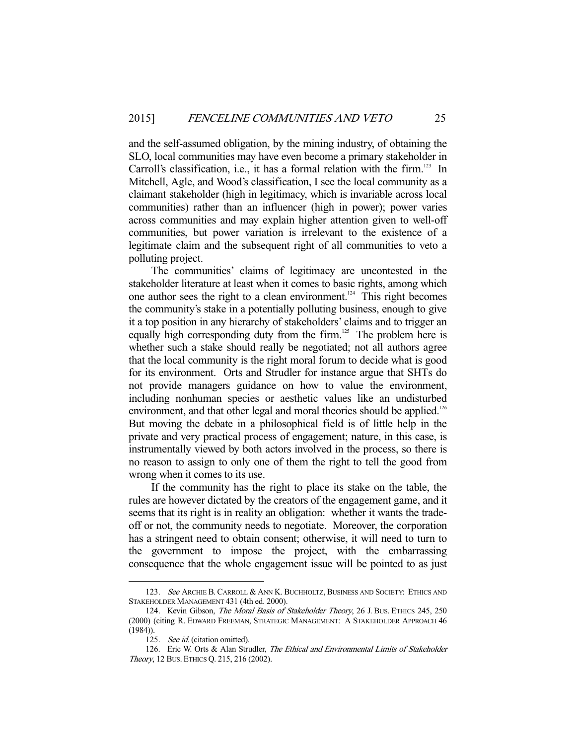and the self-assumed obligation, by the mining industry, of obtaining the SLO, local communities may have even become a primary stakeholder in Carroll's classification, i.e., it has a formal relation with the firm.<sup>123</sup> In Mitchell, Agle, and Wood's classification, I see the local community as a claimant stakeholder (high in legitimacy, which is invariable across local communities) rather than an influencer (high in power); power varies across communities and may explain higher attention given to well-off communities, but power variation is irrelevant to the existence of a legitimate claim and the subsequent right of all communities to veto a polluting project.

 The communities' claims of legitimacy are uncontested in the stakeholder literature at least when it comes to basic rights, among which one author sees the right to a clean environment.<sup>124</sup> This right becomes the community's stake in a potentially polluting business, enough to give it a top position in any hierarchy of stakeholders' claims and to trigger an equally high corresponding duty from the firm.<sup>125</sup> The problem here is whether such a stake should really be negotiated; not all authors agree that the local community is the right moral forum to decide what is good for its environment. Orts and Strudler for instance argue that SHTs do not provide managers guidance on how to value the environment, including nonhuman species or aesthetic values like an undisturbed environment, and that other legal and moral theories should be applied.<sup>126</sup> But moving the debate in a philosophical field is of little help in the private and very practical process of engagement; nature, in this case, is instrumentally viewed by both actors involved in the process, so there is no reason to assign to only one of them the right to tell the good from wrong when it comes to its use.

 If the community has the right to place its stake on the table, the rules are however dictated by the creators of the engagement game, and it seems that its right is in reality an obligation: whether it wants the tradeoff or not, the community needs to negotiate. Moreover, the corporation has a stringent need to obtain consent; otherwise, it will need to turn to the government to impose the project, with the embarrassing consequence that the whole engagement issue will be pointed to as just

<sup>123.</sup> See ARCHIE B. CARROLL & ANN K. BUCHHOLTZ, BUSINESS AND SOCIETY: ETHICS AND STAKEHOLDER MANAGEMENT 431 (4th ed. 2000).

<sup>124.</sup> Kevin Gibson, The Moral Basis of Stakeholder Theory, 26 J. Bus. ETHICS 245, 250 (2000) (citing R. EDWARD FREEMAN, STRATEGIC MANAGEMENT: A STAKEHOLDER APPROACH 46 (1984)).

<sup>125.</sup> See id. (citation omitted).

<sup>126.</sup> Eric W. Orts & Alan Strudler, The Ethical and Environmental Limits of Stakeholder Theory, 12 BUS. ETHICS Q. 215, 216 (2002).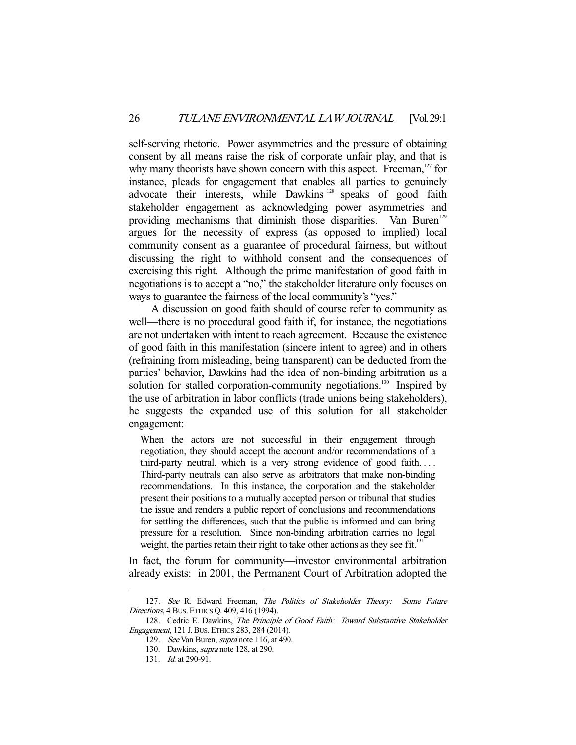self-serving rhetoric. Power asymmetries and the pressure of obtaining consent by all means raise the risk of corporate unfair play, and that is why many theorists have shown concern with this aspect. Freeman, $127$  for instance, pleads for engagement that enables all parties to genuinely advocate their interests, while Dawkins<sup>128</sup> speaks of good faith stakeholder engagement as acknowledging power asymmetries and providing mechanisms that diminish those disparities. Van Buren<sup>129</sup> argues for the necessity of express (as opposed to implied) local community consent as a guarantee of procedural fairness, but without discussing the right to withhold consent and the consequences of exercising this right. Although the prime manifestation of good faith in negotiations is to accept a "no," the stakeholder literature only focuses on ways to guarantee the fairness of the local community's "yes."

 A discussion on good faith should of course refer to community as well—there is no procedural good faith if, for instance, the negotiations are not undertaken with intent to reach agreement. Because the existence of good faith in this manifestation (sincere intent to agree) and in others (refraining from misleading, being transparent) can be deducted from the parties' behavior, Dawkins had the idea of non-binding arbitration as a solution for stalled corporation-community negotiations.<sup>130</sup> Inspired by the use of arbitration in labor conflicts (trade unions being stakeholders), he suggests the expanded use of this solution for all stakeholder engagement:

When the actors are not successful in their engagement through negotiation, they should accept the account and/or recommendations of a third-party neutral, which is a very strong evidence of good faith. . . . Third-party neutrals can also serve as arbitrators that make non-binding recommendations. In this instance, the corporation and the stakeholder present their positions to a mutually accepted person or tribunal that studies the issue and renders a public report of conclusions and recommendations for settling the differences, such that the public is informed and can bring pressure for a resolution. Since non-binding arbitration carries no legal weight, the parties retain their right to take other actions as they see fit.<sup>131</sup>

In fact, the forum for community—investor environmental arbitration already exists: in 2001, the Permanent Court of Arbitration adopted the

<sup>127.</sup> See R. Edward Freeman, The Politics of Stakeholder Theory: Some Future Directions, 4 BUS. ETHICS Q. 409, 416 (1994).

<sup>128.</sup> Cedric E. Dawkins, The Principle of Good Faith: Toward Substantive Stakeholder Engagement, 121 J.BUS.ETHICS 283, 284 (2014).

<sup>129.</sup> See Van Buren, *supra* note 116, at 490.

 <sup>130.</sup> Dawkins, supra note 128, at 290.

 <sup>131.</sup> Id. at 290-91.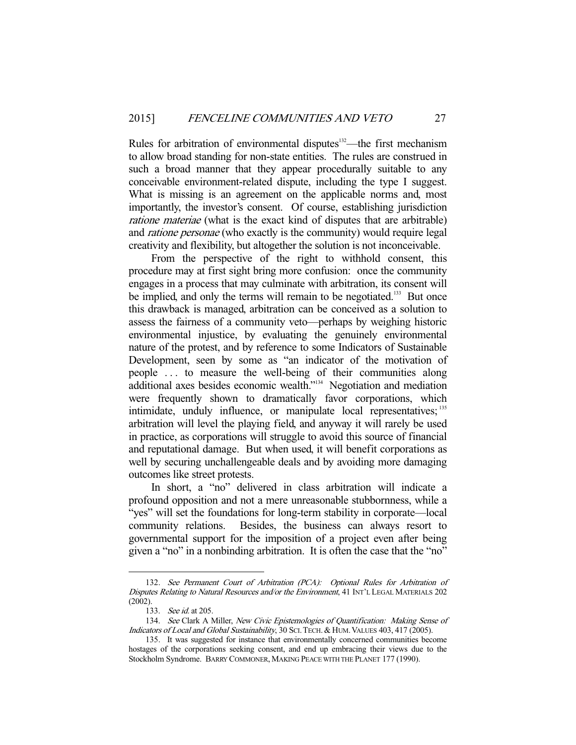Rules for arbitration of environmental disputes<sup>132</sup>—the first mechanism to allow broad standing for non-state entities. The rules are construed in such a broad manner that they appear procedurally suitable to any conceivable environment-related dispute, including the type I suggest. What is missing is an agreement on the applicable norms and, most importantly, the investor's consent. Of course, establishing jurisdiction ratione materiae (what is the exact kind of disputes that are arbitrable) and ratione personae (who exactly is the community) would require legal creativity and flexibility, but altogether the solution is not inconceivable.

 From the perspective of the right to withhold consent, this procedure may at first sight bring more confusion: once the community engages in a process that may culminate with arbitration, its consent will be implied, and only the terms will remain to be negotiated.<sup>133</sup> But once this drawback is managed, arbitration can be conceived as a solution to assess the fairness of a community veto—perhaps by weighing historic environmental injustice, by evaluating the genuinely environmental nature of the protest, and by reference to some Indicators of Sustainable Development, seen by some as "an indicator of the motivation of people . . . to measure the well-being of their communities along additional axes besides economic wealth."<sup>134</sup> Negotiation and mediation were frequently shown to dramatically favor corporations, which intimidate, unduly influence, or manipulate local representatives; 135 arbitration will level the playing field, and anyway it will rarely be used in practice, as corporations will struggle to avoid this source of financial and reputational damage. But when used, it will benefit corporations as well by securing unchallengeable deals and by avoiding more damaging outcomes like street protests.

 In short, a "no" delivered in class arbitration will indicate a profound opposition and not a mere unreasonable stubbornness, while a "yes" will set the foundations for long-term stability in corporate—local community relations. Besides, the business can always resort to governmental support for the imposition of a project even after being given a "no" in a nonbinding arbitration. It is often the case that the "no"

 <sup>132.</sup> See Permanent Court of Arbitration (PCA): Optional Rules for Arbitration of Disputes Relating to Natural Resources and/or the Environment, 41 INT'L LEGAL MATERIALS 202 (2002).

<sup>133.</sup> See id. at 205.

<sup>134.</sup> See Clark A Miller, New Civic Epistemologies of Quantification: Making Sense of Indicators of Local and Global Sustainability, 30 SCI. TECH. & HUM. VALUES 403, 417 (2005).

 <sup>135.</sup> It was suggested for instance that environmentally concerned communities become hostages of the corporations seeking consent, and end up embracing their views due to the Stockholm Syndrome. BARRY COMMONER, MAKING PEACE WITH THE PLANET 177 (1990).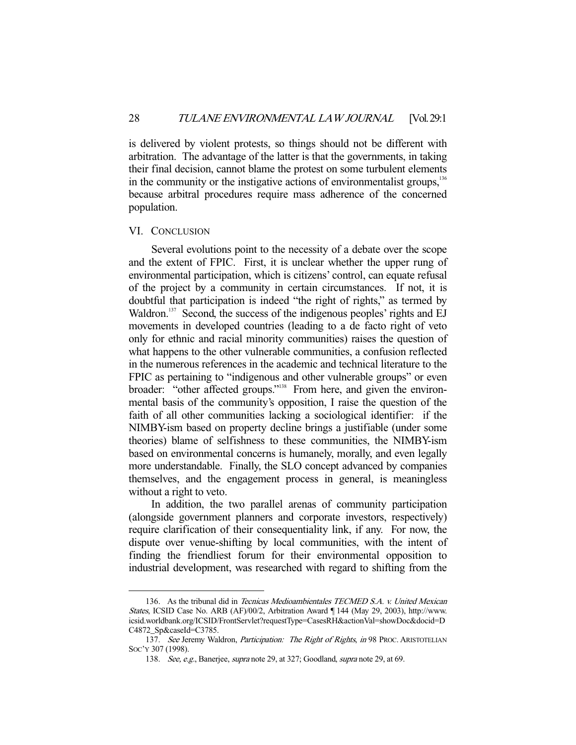is delivered by violent protests, so things should not be different with arbitration. The advantage of the latter is that the governments, in taking their final decision, cannot blame the protest on some turbulent elements in the community or the instigative actions of environmentalist groups,  $136$ because arbitral procedures require mass adherence of the concerned population.

#### VI. CONCLUSION

-

 Several evolutions point to the necessity of a debate over the scope and the extent of FPIC. First, it is unclear whether the upper rung of environmental participation, which is citizens' control, can equate refusal of the project by a community in certain circumstances. If not, it is doubtful that participation is indeed "the right of rights," as termed by Waldron.<sup>137</sup> Second, the success of the indigenous peoples' rights and EJ movements in developed countries (leading to a de facto right of veto only for ethnic and racial minority communities) raises the question of what happens to the other vulnerable communities, a confusion reflected in the numerous references in the academic and technical literature to the FPIC as pertaining to "indigenous and other vulnerable groups" or even broader: "other affected groups."<sup>138</sup> From here, and given the environmental basis of the community's opposition, I raise the question of the faith of all other communities lacking a sociological identifier: if the NIMBY-ism based on property decline brings a justifiable (under some theories) blame of selfishness to these communities, the NIMBY-ism based on environmental concerns is humanely, morally, and even legally more understandable. Finally, the SLO concept advanced by companies themselves, and the engagement process in general, is meaningless without a right to veto.

 In addition, the two parallel arenas of community participation (alongside government planners and corporate investors, respectively) require clarification of their consequentiality link, if any. For now, the dispute over venue-shifting by local communities, with the intent of finding the friendliest forum for their environmental opposition to industrial development, was researched with regard to shifting from the

<sup>136.</sup> As the tribunal did in Tecnicas Medioambientales TECMED S.A. v. United Mexican States, ICSID Case No. ARB (AF)/00/2, Arbitration Award ¶ 144 (May 29, 2003), http://www. icsid.worldbank.org/ICSID/FrontServlet?requestType=CasesRH&actionVal=showDoc&docid=D C4872\_Sp&caseId=C3785.

<sup>137.</sup> See Jeremy Waldron, Participation: The Right of Rights, in 98 PROC. ARISTOTELIAN SOC'Y 307 (1998).

<sup>138.</sup> See, e.g., Banerjee, supra note 29, at 327; Goodland, supra note 29, at 69.